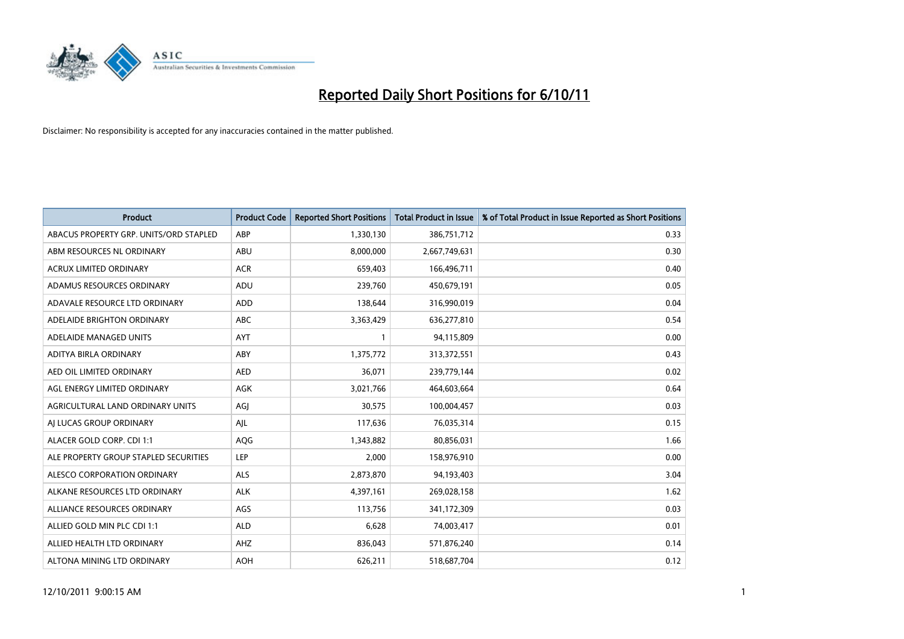

| <b>Product</b>                         | <b>Product Code</b> | <b>Reported Short Positions</b> | <b>Total Product in Issue</b> | % of Total Product in Issue Reported as Short Positions |
|----------------------------------------|---------------------|---------------------------------|-------------------------------|---------------------------------------------------------|
| ABACUS PROPERTY GRP. UNITS/ORD STAPLED | ABP                 | 1,330,130                       | 386,751,712                   | 0.33                                                    |
| ABM RESOURCES NL ORDINARY              | ABU                 | 8,000,000                       | 2,667,749,631                 | 0.30                                                    |
| <b>ACRUX LIMITED ORDINARY</b>          | <b>ACR</b>          | 659,403                         | 166,496,711                   | 0.40                                                    |
| ADAMUS RESOURCES ORDINARY              | ADU                 | 239,760                         | 450,679,191                   | 0.05                                                    |
| ADAVALE RESOURCE LTD ORDINARY          | ADD                 | 138.644                         | 316,990,019                   | 0.04                                                    |
| ADELAIDE BRIGHTON ORDINARY             | <b>ABC</b>          | 3,363,429                       | 636,277,810                   | 0.54                                                    |
| ADELAIDE MANAGED UNITS                 | <b>AYT</b>          |                                 | 94,115,809                    | 0.00                                                    |
| ADITYA BIRLA ORDINARY                  | ABY                 | 1,375,772                       | 313,372,551                   | 0.43                                                    |
| AED OIL LIMITED ORDINARY               | <b>AED</b>          | 36,071                          | 239,779,144                   | 0.02                                                    |
| AGL ENERGY LIMITED ORDINARY            | <b>AGK</b>          | 3,021,766                       | 464,603,664                   | 0.64                                                    |
| AGRICULTURAL LAND ORDINARY UNITS       | AGJ                 | 30,575                          | 100,004,457                   | 0.03                                                    |
| AI LUCAS GROUP ORDINARY                | AJL                 | 117,636                         | 76,035,314                    | 0.15                                                    |
| ALACER GOLD CORP. CDI 1:1              | <b>AQG</b>          | 1,343,882                       | 80,856,031                    | 1.66                                                    |
| ALE PROPERTY GROUP STAPLED SECURITIES  | LEP                 | 2,000                           | 158,976,910                   | 0.00                                                    |
| ALESCO CORPORATION ORDINARY            | <b>ALS</b>          | 2,873,870                       | 94,193,403                    | 3.04                                                    |
| ALKANE RESOURCES LTD ORDINARY          | <b>ALK</b>          | 4,397,161                       | 269,028,158                   | 1.62                                                    |
| ALLIANCE RESOURCES ORDINARY            | AGS                 | 113,756                         | 341,172,309                   | 0.03                                                    |
| ALLIED GOLD MIN PLC CDI 1:1            | <b>ALD</b>          | 6,628                           | 74,003,417                    | 0.01                                                    |
| ALLIED HEALTH LTD ORDINARY             | AHZ                 | 836,043                         | 571,876,240                   | 0.14                                                    |
| ALTONA MINING LTD ORDINARY             | <b>AOH</b>          | 626,211                         | 518,687,704                   | 0.12                                                    |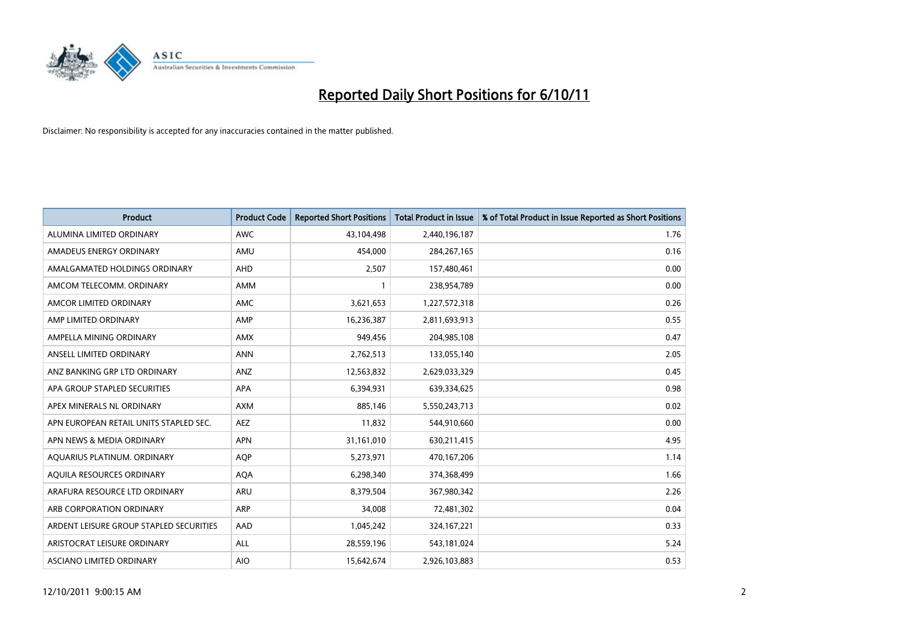

| <b>Product</b>                          | <b>Product Code</b> | <b>Reported Short Positions</b> | <b>Total Product in Issue</b> | % of Total Product in Issue Reported as Short Positions |
|-----------------------------------------|---------------------|---------------------------------|-------------------------------|---------------------------------------------------------|
| ALUMINA LIMITED ORDINARY                | <b>AWC</b>          | 43,104,498                      | 2,440,196,187                 | 1.76                                                    |
| AMADEUS ENERGY ORDINARY                 | AMU                 | 454,000                         | 284, 267, 165                 | 0.16                                                    |
| AMALGAMATED HOLDINGS ORDINARY           | AHD                 | 2,507                           | 157,480,461                   | 0.00                                                    |
| AMCOM TELECOMM. ORDINARY                | <b>AMM</b>          |                                 | 238,954,789                   | 0.00                                                    |
| AMCOR LIMITED ORDINARY                  | <b>AMC</b>          | 3,621,653                       | 1,227,572,318                 | 0.26                                                    |
| AMP LIMITED ORDINARY                    | AMP                 | 16,236,387                      | 2,811,693,913                 | 0.55                                                    |
| AMPELLA MINING ORDINARY                 | <b>AMX</b>          | 949.456                         | 204,985,108                   | 0.47                                                    |
| ANSELL LIMITED ORDINARY                 | <b>ANN</b>          | 2,762,513                       | 133,055,140                   | 2.05                                                    |
| ANZ BANKING GRP LTD ORDINARY            | ANZ                 | 12,563,832                      | 2,629,033,329                 | 0.45                                                    |
| APA GROUP STAPLED SECURITIES            | <b>APA</b>          | 6,394,931                       | 639,334,625                   | 0.98                                                    |
| APEX MINERALS NL ORDINARY               | <b>AXM</b>          | 885,146                         | 5,550,243,713                 | 0.02                                                    |
| APN EUROPEAN RETAIL UNITS STAPLED SEC.  | <b>AEZ</b>          | 11,832                          | 544,910,660                   | 0.00                                                    |
| APN NEWS & MEDIA ORDINARY               | <b>APN</b>          | 31,161,010                      | 630,211,415                   | 4.95                                                    |
| AQUARIUS PLATINUM. ORDINARY             | <b>AOP</b>          | 5,273,971                       | 470,167,206                   | 1.14                                                    |
| AQUILA RESOURCES ORDINARY               | <b>AQA</b>          | 6,298,340                       | 374,368,499                   | 1.66                                                    |
| ARAFURA RESOURCE LTD ORDINARY           | ARU                 | 8,379,504                       | 367,980,342                   | 2.26                                                    |
| ARB CORPORATION ORDINARY                | <b>ARP</b>          | 34,008                          | 72,481,302                    | 0.04                                                    |
| ARDENT LEISURE GROUP STAPLED SECURITIES | AAD                 | 1,045,242                       | 324, 167, 221                 | 0.33                                                    |
| ARISTOCRAT LEISURE ORDINARY             | <b>ALL</b>          | 28,559,196                      | 543,181,024                   | 5.24                                                    |
| ASCIANO LIMITED ORDINARY                | <b>AIO</b>          | 15,642,674                      | 2,926,103,883                 | 0.53                                                    |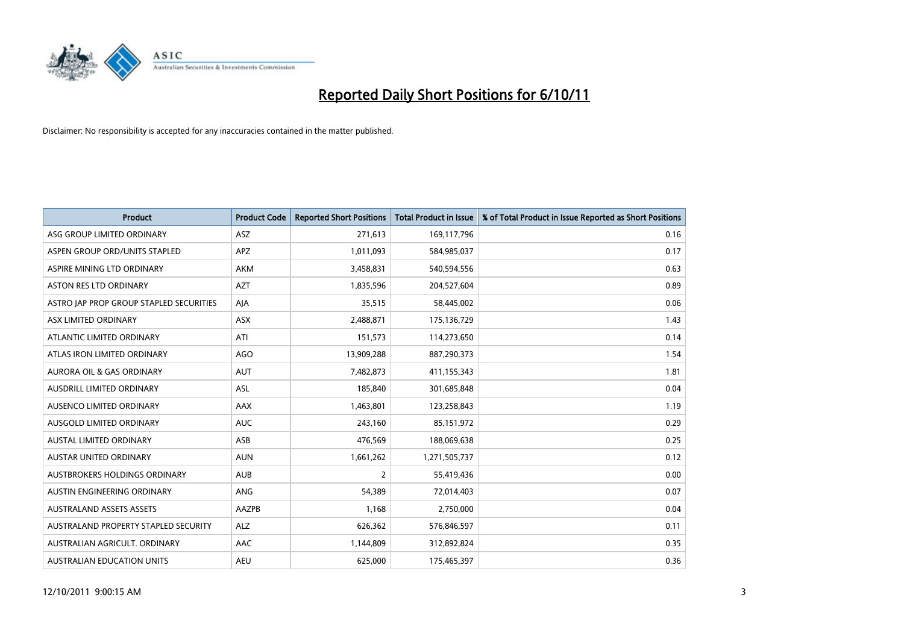

| <b>Product</b>                          | <b>Product Code</b> | <b>Reported Short Positions</b> | <b>Total Product in Issue</b> | % of Total Product in Issue Reported as Short Positions |
|-----------------------------------------|---------------------|---------------------------------|-------------------------------|---------------------------------------------------------|
| ASG GROUP LIMITED ORDINARY              | ASZ                 | 271,613                         | 169,117,796                   | 0.16                                                    |
| ASPEN GROUP ORD/UNITS STAPLED           | <b>APZ</b>          | 1,011,093                       | 584,985,037                   | 0.17                                                    |
| ASPIRE MINING LTD ORDINARY              | <b>AKM</b>          | 3,458,831                       | 540,594,556                   | 0.63                                                    |
| ASTON RES LTD ORDINARY                  | <b>AZT</b>          | 1,835,596                       | 204,527,604                   | 0.89                                                    |
| ASTRO JAP PROP GROUP STAPLED SECURITIES | AJA                 | 35,515                          | 58,445,002                    | 0.06                                                    |
| ASX LIMITED ORDINARY                    | ASX                 | 2,488,871                       | 175,136,729                   | 1.43                                                    |
| ATLANTIC LIMITED ORDINARY               | ATI                 | 151,573                         | 114,273,650                   | 0.14                                                    |
| ATLAS IRON LIMITED ORDINARY             | AGO                 | 13,909,288                      | 887,290,373                   | 1.54                                                    |
| AURORA OIL & GAS ORDINARY               | <b>AUT</b>          | 7,482,873                       | 411,155,343                   | 1.81                                                    |
| AUSDRILL LIMITED ORDINARY               | <b>ASL</b>          | 185,840                         | 301,685,848                   | 0.04                                                    |
| AUSENCO LIMITED ORDINARY                | <b>AAX</b>          | 1,463,801                       | 123,258,843                   | 1.19                                                    |
| AUSGOLD LIMITED ORDINARY                | <b>AUC</b>          | 243,160                         | 85, 151, 972                  | 0.29                                                    |
| <b>AUSTAL LIMITED ORDINARY</b>          | ASB                 | 476,569                         | 188,069,638                   | 0.25                                                    |
| <b>AUSTAR UNITED ORDINARY</b>           | <b>AUN</b>          | 1,661,262                       | 1,271,505,737                 | 0.12                                                    |
| AUSTBROKERS HOLDINGS ORDINARY           | <b>AUB</b>          | 2                               | 55,419,436                    | 0.00                                                    |
| AUSTIN ENGINEERING ORDINARY             | ANG                 | 54,389                          | 72,014,403                    | 0.07                                                    |
| <b>AUSTRALAND ASSETS ASSETS</b>         | AAZPB               | 1,168                           | 2,750,000                     | 0.04                                                    |
| AUSTRALAND PROPERTY STAPLED SECURITY    | <b>ALZ</b>          | 626,362                         | 576,846,597                   | 0.11                                                    |
| AUSTRALIAN AGRICULT, ORDINARY           | AAC                 | 1,144,809                       | 312,892,824                   | 0.35                                                    |
| AUSTRALIAN EDUCATION UNITS              | <b>AEU</b>          | 625.000                         | 175,465,397                   | 0.36                                                    |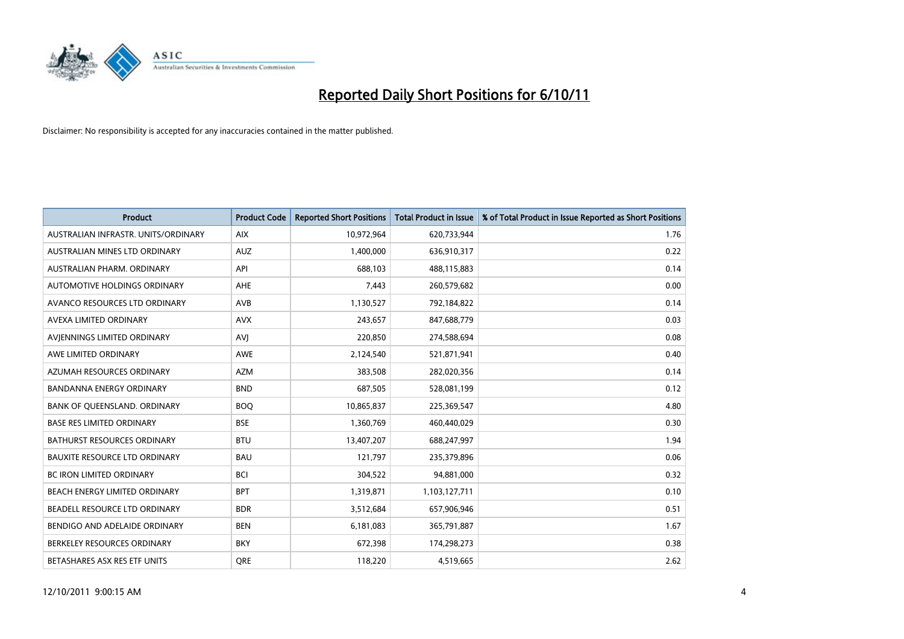

| <b>Product</b>                       | <b>Product Code</b> | <b>Reported Short Positions</b> | <b>Total Product in Issue</b> | % of Total Product in Issue Reported as Short Positions |
|--------------------------------------|---------------------|---------------------------------|-------------------------------|---------------------------------------------------------|
| AUSTRALIAN INFRASTR, UNITS/ORDINARY  | <b>AIX</b>          | 10,972,964                      | 620,733,944                   | 1.76                                                    |
| AUSTRALIAN MINES LTD ORDINARY        | <b>AUZ</b>          | 1,400,000                       | 636,910,317                   | 0.22                                                    |
| AUSTRALIAN PHARM, ORDINARY           | API                 | 688,103                         | 488,115,883                   | 0.14                                                    |
| AUTOMOTIVE HOLDINGS ORDINARY         | <b>AHE</b>          | 7,443                           | 260,579,682                   | 0.00                                                    |
| AVANCO RESOURCES LTD ORDINARY        | AVB                 | 1,130,527                       | 792,184,822                   | 0.14                                                    |
| AVEXA LIMITED ORDINARY               | <b>AVX</b>          | 243,657                         | 847,688,779                   | 0.03                                                    |
| AVIENNINGS LIMITED ORDINARY          | AVI                 | 220,850                         | 274,588,694                   | 0.08                                                    |
| AWE LIMITED ORDINARY                 | AWE                 | 2,124,540                       | 521,871,941                   | 0.40                                                    |
| AZUMAH RESOURCES ORDINARY            | <b>AZM</b>          | 383,508                         | 282,020,356                   | 0.14                                                    |
| <b>BANDANNA ENERGY ORDINARY</b>      | <b>BND</b>          | 687,505                         | 528,081,199                   | 0.12                                                    |
| BANK OF QUEENSLAND. ORDINARY         | <b>BOQ</b>          | 10,865,837                      | 225,369,547                   | 4.80                                                    |
| <b>BASE RES LIMITED ORDINARY</b>     | <b>BSE</b>          | 1,360,769                       | 460,440,029                   | 0.30                                                    |
| <b>BATHURST RESOURCES ORDINARY</b>   | <b>BTU</b>          | 13,407,207                      | 688,247,997                   | 1.94                                                    |
| <b>BAUXITE RESOURCE LTD ORDINARY</b> | <b>BAU</b>          | 121,797                         | 235,379,896                   | 0.06                                                    |
| <b>BC IRON LIMITED ORDINARY</b>      | <b>BCI</b>          | 304,522                         | 94,881,000                    | 0.32                                                    |
| BEACH ENERGY LIMITED ORDINARY        | <b>BPT</b>          | 1,319,871                       | 1,103,127,711                 | 0.10                                                    |
| BEADELL RESOURCE LTD ORDINARY        | <b>BDR</b>          | 3,512,684                       | 657,906,946                   | 0.51                                                    |
| BENDIGO AND ADELAIDE ORDINARY        | <b>BEN</b>          | 6,181,083                       | 365,791,887                   | 1.67                                                    |
| BERKELEY RESOURCES ORDINARY          | <b>BKY</b>          | 672,398                         | 174,298,273                   | 0.38                                                    |
| BETASHARES ASX RES ETF UNITS         | <b>ORE</b>          | 118,220                         | 4,519,665                     | 2.62                                                    |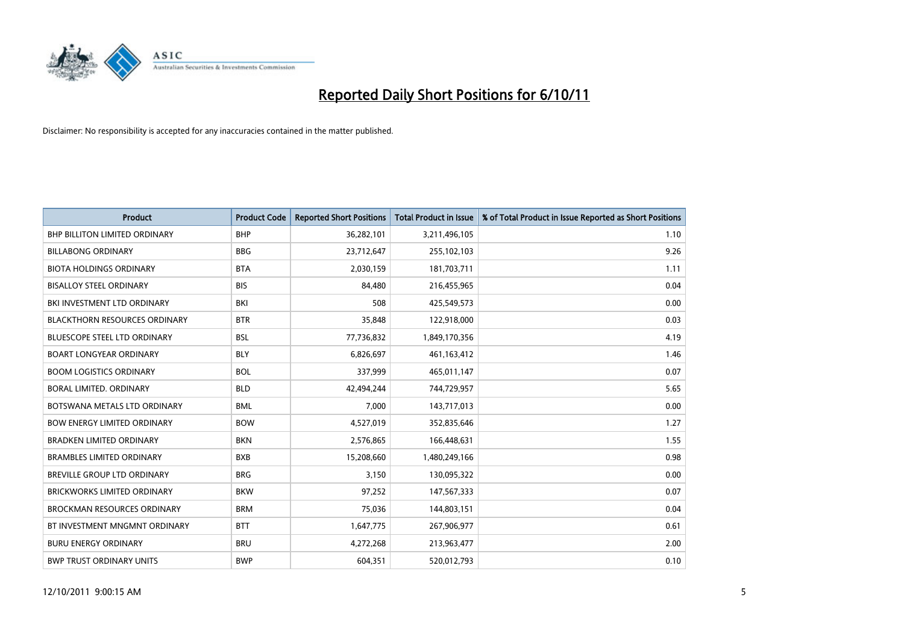

| <b>Product</b>                       | <b>Product Code</b> | <b>Reported Short Positions</b> | <b>Total Product in Issue</b> | % of Total Product in Issue Reported as Short Positions |
|--------------------------------------|---------------------|---------------------------------|-------------------------------|---------------------------------------------------------|
| <b>BHP BILLITON LIMITED ORDINARY</b> | <b>BHP</b>          | 36,282,101                      | 3,211,496,105                 | 1.10                                                    |
| <b>BILLABONG ORDINARY</b>            | <b>BBG</b>          | 23,712,647                      | 255,102,103                   | 9.26                                                    |
| <b>BIOTA HOLDINGS ORDINARY</b>       | <b>BTA</b>          | 2,030,159                       | 181,703,711                   | 1.11                                                    |
| <b>BISALLOY STEEL ORDINARY</b>       | <b>BIS</b>          | 84,480                          | 216,455,965                   | 0.04                                                    |
| BKI INVESTMENT LTD ORDINARY          | BKI                 | 508                             | 425,549,573                   | 0.00                                                    |
| <b>BLACKTHORN RESOURCES ORDINARY</b> | <b>BTR</b>          | 35,848                          | 122,918,000                   | 0.03                                                    |
| <b>BLUESCOPE STEEL LTD ORDINARY</b>  | <b>BSL</b>          | 77,736,832                      | 1,849,170,356                 | 4.19                                                    |
| <b>BOART LONGYEAR ORDINARY</b>       | <b>BLY</b>          | 6,826,697                       | 461,163,412                   | 1.46                                                    |
| <b>BOOM LOGISTICS ORDINARY</b>       | <b>BOL</b>          | 337,999                         | 465,011,147                   | 0.07                                                    |
| BORAL LIMITED, ORDINARY              | <b>BLD</b>          | 42,494,244                      | 744,729,957                   | 5.65                                                    |
| BOTSWANA METALS LTD ORDINARY         | <b>BML</b>          | 7,000                           | 143,717,013                   | 0.00                                                    |
| <b>BOW ENERGY LIMITED ORDINARY</b>   | <b>BOW</b>          | 4,527,019                       | 352,835,646                   | 1.27                                                    |
| <b>BRADKEN LIMITED ORDINARY</b>      | <b>BKN</b>          | 2,576,865                       | 166,448,631                   | 1.55                                                    |
| <b>BRAMBLES LIMITED ORDINARY</b>     | <b>BXB</b>          | 15,208,660                      | 1,480,249,166                 | 0.98                                                    |
| <b>BREVILLE GROUP LTD ORDINARY</b>   | <b>BRG</b>          | 3,150                           | 130,095,322                   | 0.00                                                    |
| BRICKWORKS LIMITED ORDINARY          | <b>BKW</b>          | 97,252                          | 147,567,333                   | 0.07                                                    |
| <b>BROCKMAN RESOURCES ORDINARY</b>   | <b>BRM</b>          | 75,036                          | 144,803,151                   | 0.04                                                    |
| BT INVESTMENT MNGMNT ORDINARY        | <b>BTT</b>          | 1,647,775                       | 267,906,977                   | 0.61                                                    |
| <b>BURU ENERGY ORDINARY</b>          | <b>BRU</b>          | 4,272,268                       | 213,963,477                   | 2.00                                                    |
| <b>BWP TRUST ORDINARY UNITS</b>      | <b>BWP</b>          | 604.351                         | 520,012,793                   | 0.10                                                    |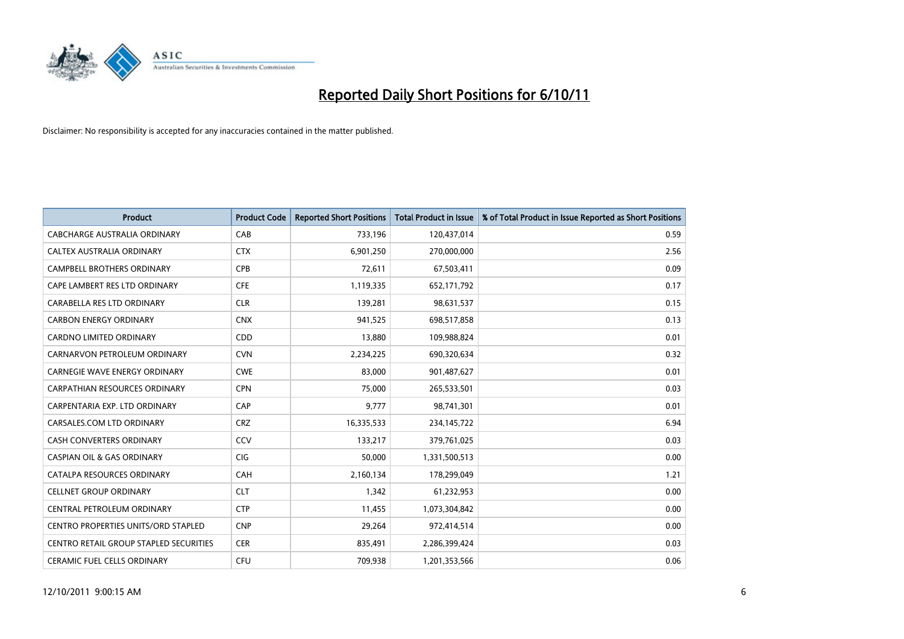

| <b>Product</b>                             | <b>Product Code</b> | <b>Reported Short Positions</b> | <b>Total Product in Issue</b> | % of Total Product in Issue Reported as Short Positions |
|--------------------------------------------|---------------------|---------------------------------|-------------------------------|---------------------------------------------------------|
| <b>CABCHARGE AUSTRALIA ORDINARY</b>        | CAB                 | 733,196                         | 120,437,014                   | 0.59                                                    |
| CALTEX AUSTRALIA ORDINARY                  | <b>CTX</b>          | 6,901,250                       | 270,000,000                   | 2.56                                                    |
| <b>CAMPBELL BROTHERS ORDINARY</b>          | <b>CPB</b>          | 72,611                          | 67,503,411                    | 0.09                                                    |
| CAPE LAMBERT RES LTD ORDINARY              | <b>CFE</b>          | 1,119,335                       | 652,171,792                   | 0.17                                                    |
| CARABELLA RES LTD ORDINARY                 | <b>CLR</b>          | 139,281                         | 98,631,537                    | 0.15                                                    |
| <b>CARBON ENERGY ORDINARY</b>              | <b>CNX</b>          | 941,525                         | 698,517,858                   | 0.13                                                    |
| <b>CARDNO LIMITED ORDINARY</b>             | CDD                 | 13,880                          | 109,988,824                   | 0.01                                                    |
| CARNARVON PETROLEUM ORDINARY               | <b>CVN</b>          | 2,234,225                       | 690,320,634                   | 0.32                                                    |
| CARNEGIE WAVE ENERGY ORDINARY              | <b>CWE</b>          | 83,000                          | 901,487,627                   | 0.01                                                    |
| CARPATHIAN RESOURCES ORDINARY              | <b>CPN</b>          | 75,000                          | 265,533,501                   | 0.03                                                    |
| CARPENTARIA EXP. LTD ORDINARY              | CAP                 | 9,777                           | 98,741,301                    | 0.01                                                    |
| CARSALES.COM LTD ORDINARY                  | <b>CRZ</b>          | 16,335,533                      | 234,145,722                   | 6.94                                                    |
| CASH CONVERTERS ORDINARY                   | CCV                 | 133,217                         | 379,761,025                   | 0.03                                                    |
| <b>CASPIAN OIL &amp; GAS ORDINARY</b>      | <b>CIG</b>          | 50,000                          | 1,331,500,513                 | 0.00                                                    |
| CATALPA RESOURCES ORDINARY                 | CAH                 | 2,160,134                       | 178,299,049                   | 1.21                                                    |
| <b>CELLNET GROUP ORDINARY</b>              | <b>CLT</b>          | 1,342                           | 61,232,953                    | 0.00                                                    |
| CENTRAL PETROLEUM ORDINARY                 | <b>CTP</b>          | 11,455                          | 1,073,304,842                 | 0.00                                                    |
| <b>CENTRO PROPERTIES UNITS/ORD STAPLED</b> | <b>CNP</b>          | 29,264                          | 972,414,514                   | 0.00                                                    |
| CENTRO RETAIL GROUP STAPLED SECURITIES     | <b>CER</b>          | 835,491                         | 2,286,399,424                 | 0.03                                                    |
| <b>CERAMIC FUEL CELLS ORDINARY</b>         | <b>CFU</b>          | 709.938                         | 1,201,353,566                 | 0.06                                                    |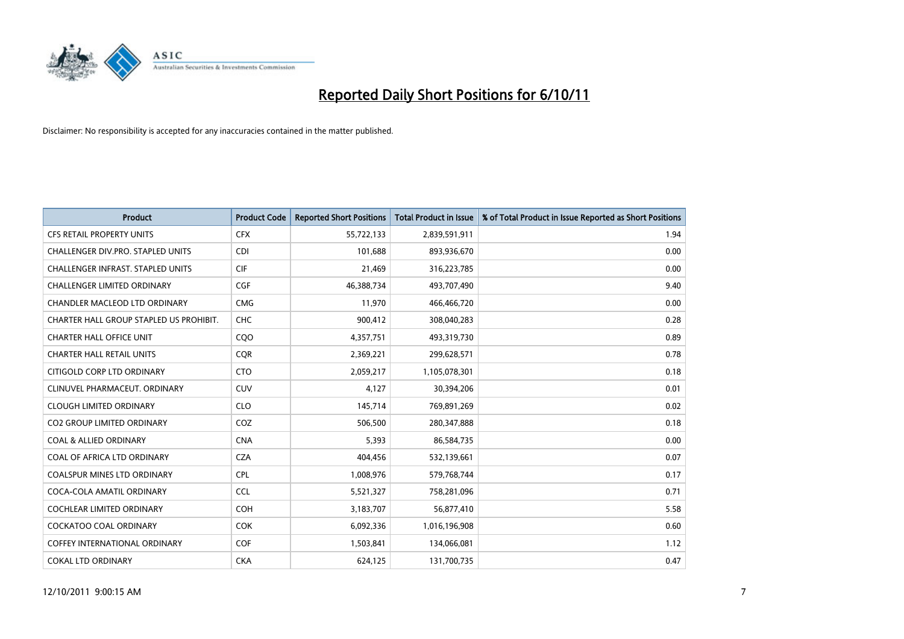

| <b>Product</b>                           | <b>Product Code</b> | <b>Reported Short Positions</b> | <b>Total Product in Issue</b> | % of Total Product in Issue Reported as Short Positions |
|------------------------------------------|---------------------|---------------------------------|-------------------------------|---------------------------------------------------------|
| <b>CFS RETAIL PROPERTY UNITS</b>         | <b>CFX</b>          | 55,722,133                      | 2,839,591,911                 | 1.94                                                    |
| CHALLENGER DIV.PRO. STAPLED UNITS        | <b>CDI</b>          | 101.688                         | 893,936,670                   | 0.00                                                    |
| <b>CHALLENGER INFRAST, STAPLED UNITS</b> | <b>CIF</b>          | 21,469                          | 316,223,785                   | 0.00                                                    |
| CHALLENGER LIMITED ORDINARY              | <b>CGF</b>          | 46,388,734                      | 493,707,490                   | 9.40                                                    |
| CHANDLER MACLEOD LTD ORDINARY            | <b>CMG</b>          | 11,970                          | 466,466,720                   | 0.00                                                    |
| CHARTER HALL GROUP STAPLED US PROHIBIT.  | <b>CHC</b>          | 900,412                         | 308,040,283                   | 0.28                                                    |
| <b>CHARTER HALL OFFICE UNIT</b>          | CQ <sub>O</sub>     | 4,357,751                       | 493,319,730                   | 0.89                                                    |
| <b>CHARTER HALL RETAIL UNITS</b>         | <b>COR</b>          | 2,369,221                       | 299,628,571                   | 0.78                                                    |
| CITIGOLD CORP LTD ORDINARY               | <b>CTO</b>          | 2,059,217                       | 1,105,078,301                 | 0.18                                                    |
| CLINUVEL PHARMACEUT, ORDINARY            | <b>CUV</b>          | 4,127                           | 30,394,206                    | 0.01                                                    |
| <b>CLOUGH LIMITED ORDINARY</b>           | <b>CLO</b>          | 145,714                         | 769,891,269                   | 0.02                                                    |
| <b>CO2 GROUP LIMITED ORDINARY</b>        | COZ                 | 506,500                         | 280,347,888                   | 0.18                                                    |
| <b>COAL &amp; ALLIED ORDINARY</b>        | <b>CNA</b>          | 5,393                           | 86,584,735                    | 0.00                                                    |
| COAL OF AFRICA LTD ORDINARY              | <b>CZA</b>          | 404,456                         | 532,139,661                   | 0.07                                                    |
| <b>COALSPUR MINES LTD ORDINARY</b>       | <b>CPL</b>          | 1,008,976                       | 579,768,744                   | 0.17                                                    |
| COCA-COLA AMATIL ORDINARY                | <b>CCL</b>          | 5,521,327                       | 758,281,096                   | 0.71                                                    |
| <b>COCHLEAR LIMITED ORDINARY</b>         | <b>COH</b>          | 3,183,707                       | 56,877,410                    | 5.58                                                    |
| COCKATOO COAL ORDINARY                   | <b>COK</b>          | 6,092,336                       | 1,016,196,908                 | 0.60                                                    |
| <b>COFFEY INTERNATIONAL ORDINARY</b>     | <b>COF</b>          | 1,503,841                       | 134,066,081                   | 1.12                                                    |
| <b>COKAL LTD ORDINARY</b>                | <b>CKA</b>          | 624,125                         | 131,700,735                   | 0.47                                                    |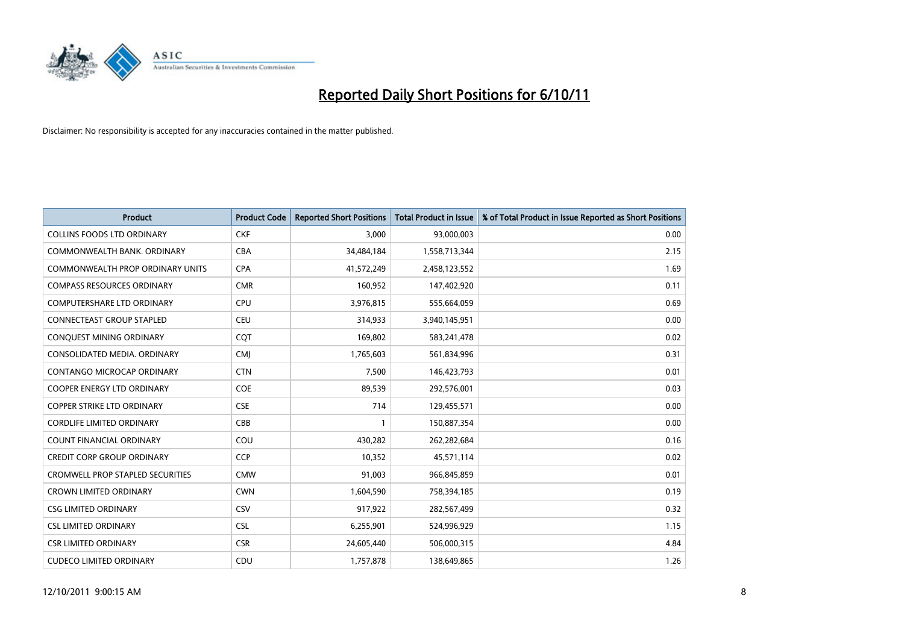

| <b>Product</b>                          | <b>Product Code</b> | <b>Reported Short Positions</b> | <b>Total Product in Issue</b> | % of Total Product in Issue Reported as Short Positions |
|-----------------------------------------|---------------------|---------------------------------|-------------------------------|---------------------------------------------------------|
| <b>COLLINS FOODS LTD ORDINARY</b>       | <b>CKF</b>          | 3,000                           | 93,000,003                    | 0.00                                                    |
| COMMONWEALTH BANK, ORDINARY             | <b>CBA</b>          | 34,484,184                      | 1,558,713,344                 | 2.15                                                    |
| COMMONWEALTH PROP ORDINARY UNITS        | <b>CPA</b>          | 41,572,249                      | 2,458,123,552                 | 1.69                                                    |
| <b>COMPASS RESOURCES ORDINARY</b>       | <b>CMR</b>          | 160,952                         | 147,402,920                   | 0.11                                                    |
| <b>COMPUTERSHARE LTD ORDINARY</b>       | <b>CPU</b>          | 3,976,815                       | 555,664,059                   | 0.69                                                    |
| CONNECTEAST GROUP STAPLED               | <b>CEU</b>          | 314,933                         | 3,940,145,951                 | 0.00                                                    |
| CONQUEST MINING ORDINARY                | CQT                 | 169,802                         | 583,241,478                   | 0.02                                                    |
| CONSOLIDATED MEDIA, ORDINARY            | <b>CMI</b>          | 1,765,603                       | 561,834,996                   | 0.31                                                    |
| CONTANGO MICROCAP ORDINARY              | <b>CTN</b>          | 7,500                           | 146,423,793                   | 0.01                                                    |
| <b>COOPER ENERGY LTD ORDINARY</b>       | <b>COE</b>          | 89,539                          | 292,576,001                   | 0.03                                                    |
| <b>COPPER STRIKE LTD ORDINARY</b>       | <b>CSE</b>          | 714                             | 129,455,571                   | 0.00                                                    |
| <b>CORDLIFE LIMITED ORDINARY</b>        | CBB                 |                                 | 150,887,354                   | 0.00                                                    |
| COUNT FINANCIAL ORDINARY                | COU                 | 430,282                         | 262,282,684                   | 0.16                                                    |
| <b>CREDIT CORP GROUP ORDINARY</b>       | <b>CCP</b>          | 10,352                          | 45,571,114                    | 0.02                                                    |
| <b>CROMWELL PROP STAPLED SECURITIES</b> | <b>CMW</b>          | 91,003                          | 966,845,859                   | 0.01                                                    |
| <b>CROWN LIMITED ORDINARY</b>           | <b>CWN</b>          | 1,604,590                       | 758,394,185                   | 0.19                                                    |
| <b>CSG LIMITED ORDINARY</b>             | CSV                 | 917,922                         | 282,567,499                   | 0.32                                                    |
| <b>CSL LIMITED ORDINARY</b>             | <b>CSL</b>          | 6,255,901                       | 524,996,929                   | 1.15                                                    |
| <b>CSR LIMITED ORDINARY</b>             | <b>CSR</b>          | 24,605,440                      | 506,000,315                   | 4.84                                                    |
| <b>CUDECO LIMITED ORDINARY</b>          | CDU                 | 1,757,878                       | 138,649,865                   | 1.26                                                    |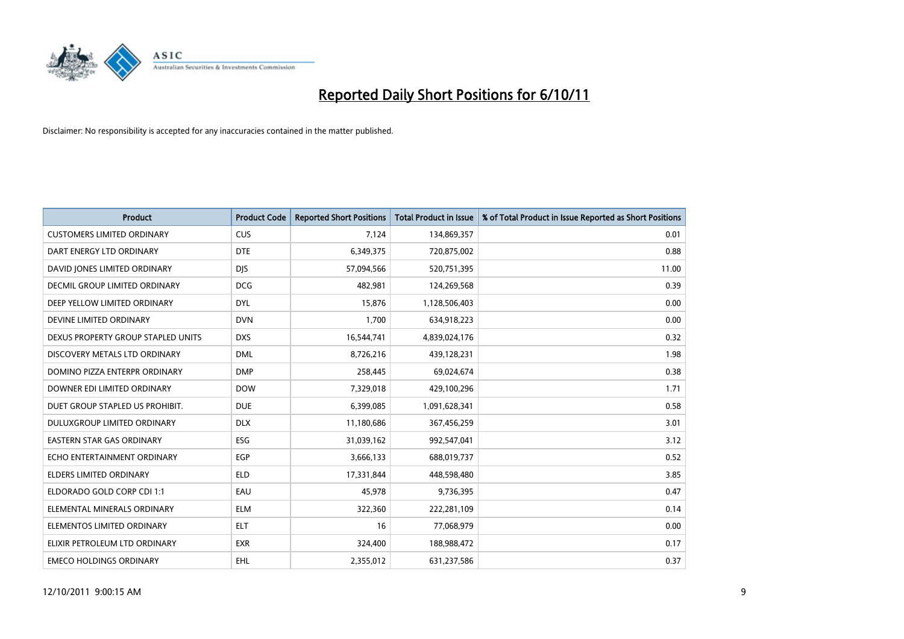

| <b>Product</b>                     | <b>Product Code</b> | <b>Reported Short Positions</b> | <b>Total Product in Issue</b> | % of Total Product in Issue Reported as Short Positions |
|------------------------------------|---------------------|---------------------------------|-------------------------------|---------------------------------------------------------|
| <b>CUSTOMERS LIMITED ORDINARY</b>  | <b>CUS</b>          | 7,124                           | 134,869,357                   | 0.01                                                    |
| DART ENERGY LTD ORDINARY           | <b>DTE</b>          | 6,349,375                       | 720,875,002                   | 0.88                                                    |
| DAVID JONES LIMITED ORDINARY       | <b>DJS</b>          | 57,094,566                      | 520,751,395                   | 11.00                                                   |
| DECMIL GROUP LIMITED ORDINARY      | <b>DCG</b>          | 482,981                         | 124,269,568                   | 0.39                                                    |
| DEEP YELLOW LIMITED ORDINARY       | <b>DYL</b>          | 15,876                          | 1,128,506,403                 | 0.00                                                    |
| DEVINE LIMITED ORDINARY            | <b>DVN</b>          | 1,700                           | 634,918,223                   | 0.00                                                    |
| DEXUS PROPERTY GROUP STAPLED UNITS | <b>DXS</b>          | 16,544,741                      | 4,839,024,176                 | 0.32                                                    |
| DISCOVERY METALS LTD ORDINARY      | <b>DML</b>          | 8,726,216                       | 439,128,231                   | 1.98                                                    |
| DOMINO PIZZA ENTERPR ORDINARY      | <b>DMP</b>          | 258,445                         | 69,024,674                    | 0.38                                                    |
| DOWNER EDI LIMITED ORDINARY        | <b>DOW</b>          | 7,329,018                       | 429,100,296                   | 1.71                                                    |
| DUET GROUP STAPLED US PROHIBIT.    | <b>DUE</b>          | 6,399,085                       | 1,091,628,341                 | 0.58                                                    |
| <b>DULUXGROUP LIMITED ORDINARY</b> | <b>DLX</b>          | 11,180,686                      | 367,456,259                   | 3.01                                                    |
| EASTERN STAR GAS ORDINARY          | ESG                 | 31,039,162                      | 992,547,041                   | 3.12                                                    |
| ECHO ENTERTAINMENT ORDINARY        | <b>EGP</b>          | 3,666,133                       | 688,019,737                   | 0.52                                                    |
| <b>ELDERS LIMITED ORDINARY</b>     | <b>ELD</b>          | 17,331,844                      | 448,598,480                   | 3.85                                                    |
| ELDORADO GOLD CORP CDI 1:1         | EAU                 | 45,978                          | 9,736,395                     | 0.47                                                    |
| ELEMENTAL MINERALS ORDINARY        | <b>ELM</b>          | 322,360                         | 222,281,109                   | 0.14                                                    |
| ELEMENTOS LIMITED ORDINARY         | <b>ELT</b>          | 16                              | 77,068,979                    | 0.00                                                    |
| ELIXIR PETROLEUM LTD ORDINARY      | <b>EXR</b>          | 324,400                         | 188,988,472                   | 0.17                                                    |
| <b>EMECO HOLDINGS ORDINARY</b>     | <b>EHL</b>          | 2,355,012                       | 631,237,586                   | 0.37                                                    |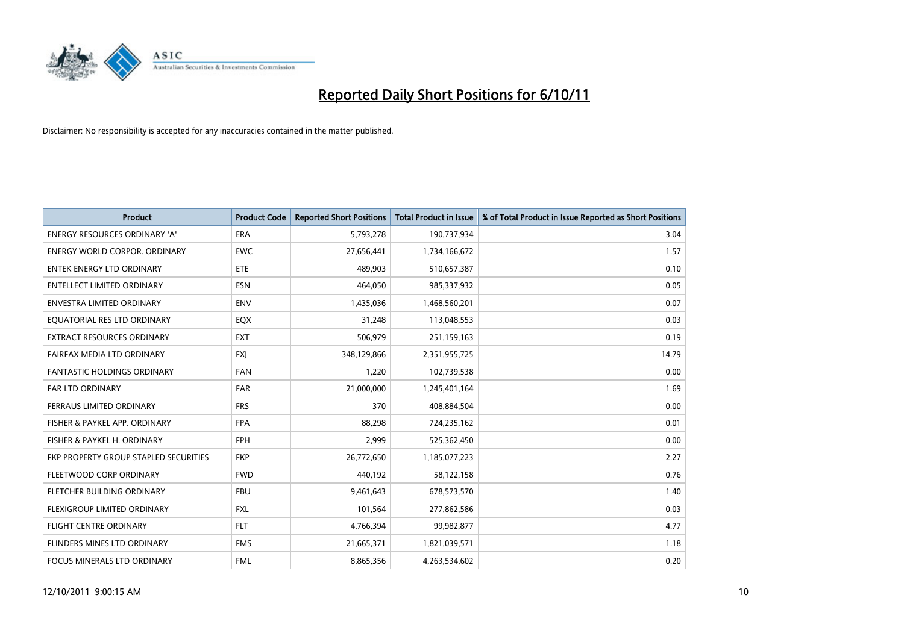

| <b>Product</b>                        | <b>Product Code</b> | <b>Reported Short Positions</b> | <b>Total Product in Issue</b> | % of Total Product in Issue Reported as Short Positions |
|---------------------------------------|---------------------|---------------------------------|-------------------------------|---------------------------------------------------------|
| <b>ENERGY RESOURCES ORDINARY 'A'</b>  | <b>ERA</b>          | 5,793,278                       | 190,737,934                   | 3.04                                                    |
| <b>ENERGY WORLD CORPOR. ORDINARY</b>  | <b>EWC</b>          | 27,656,441                      | 1,734,166,672                 | 1.57                                                    |
| ENTEK ENERGY LTD ORDINARY             | ETE                 | 489,903                         | 510,657,387                   | 0.10                                                    |
| <b>ENTELLECT LIMITED ORDINARY</b>     | <b>ESN</b>          | 464,050                         | 985,337,932                   | 0.05                                                    |
| <b>ENVESTRA LIMITED ORDINARY</b>      | <b>ENV</b>          | 1,435,036                       | 1,468,560,201                 | 0.07                                                    |
| EQUATORIAL RES LTD ORDINARY           | <b>EQX</b>          | 31,248                          | 113,048,553                   | 0.03                                                    |
| <b>EXTRACT RESOURCES ORDINARY</b>     | <b>EXT</b>          | 506,979                         | 251,159,163                   | 0.19                                                    |
| FAIRFAX MEDIA LTD ORDINARY            | <b>FXJ</b>          | 348,129,866                     | 2,351,955,725                 | 14.79                                                   |
| FANTASTIC HOLDINGS ORDINARY           | <b>FAN</b>          | 1,220                           | 102,739,538                   | 0.00                                                    |
| <b>FAR LTD ORDINARY</b>               | FAR                 | 21,000,000                      | 1,245,401,164                 | 1.69                                                    |
| <b>FERRAUS LIMITED ORDINARY</b>       | <b>FRS</b>          | 370                             | 408,884,504                   | 0.00                                                    |
| FISHER & PAYKEL APP. ORDINARY         | <b>FPA</b>          | 88,298                          | 724,235,162                   | 0.01                                                    |
| FISHER & PAYKEL H. ORDINARY           | <b>FPH</b>          | 2,999                           | 525,362,450                   | 0.00                                                    |
| FKP PROPERTY GROUP STAPLED SECURITIES | <b>FKP</b>          | 26,772,650                      | 1,185,077,223                 | 2.27                                                    |
| FLEETWOOD CORP ORDINARY               | <b>FWD</b>          | 440,192                         | 58,122,158                    | 0.76                                                    |
| FLETCHER BUILDING ORDINARY            | <b>FBU</b>          | 9,461,643                       | 678,573,570                   | 1.40                                                    |
| FLEXIGROUP LIMITED ORDINARY           | <b>FXL</b>          | 101,564                         | 277,862,586                   | 0.03                                                    |
| FLIGHT CENTRE ORDINARY                | <b>FLT</b>          | 4,766,394                       | 99,982,877                    | 4.77                                                    |
| FLINDERS MINES LTD ORDINARY           | <b>FMS</b>          | 21,665,371                      | 1,821,039,571                 | 1.18                                                    |
| FOCUS MINERALS LTD ORDINARY           | <b>FML</b>          | 8,865,356                       | 4,263,534,602                 | 0.20                                                    |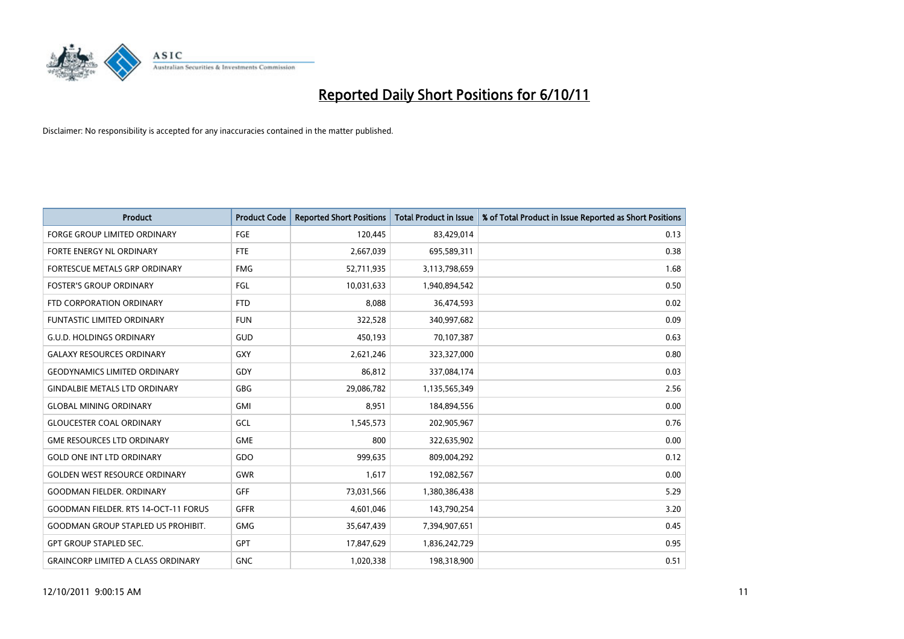

| <b>Product</b>                              | <b>Product Code</b> | <b>Reported Short Positions</b> | <b>Total Product in Issue</b> | % of Total Product in Issue Reported as Short Positions |
|---------------------------------------------|---------------------|---------------------------------|-------------------------------|---------------------------------------------------------|
| <b>FORGE GROUP LIMITED ORDINARY</b>         | FGE                 | 120,445                         | 83,429,014                    | 0.13                                                    |
| FORTE ENERGY NL ORDINARY                    | <b>FTE</b>          | 2,667,039                       | 695,589,311                   | 0.38                                                    |
| FORTESCUE METALS GRP ORDINARY               | <b>FMG</b>          | 52,711,935                      | 3,113,798,659                 | 1.68                                                    |
| <b>FOSTER'S GROUP ORDINARY</b>              | FGL                 | 10,031,633                      | 1,940,894,542                 | 0.50                                                    |
| FTD CORPORATION ORDINARY                    | <b>FTD</b>          | 8,088                           | 36,474,593                    | 0.02                                                    |
| <b>FUNTASTIC LIMITED ORDINARY</b>           | <b>FUN</b>          | 322,528                         | 340,997,682                   | 0.09                                                    |
| <b>G.U.D. HOLDINGS ORDINARY</b>             | GUD                 | 450,193                         | 70,107,387                    | 0.63                                                    |
| <b>GALAXY RESOURCES ORDINARY</b>            | GXY                 | 2,621,246                       | 323,327,000                   | 0.80                                                    |
| <b>GEODYNAMICS LIMITED ORDINARY</b>         | GDY                 | 86,812                          | 337,084,174                   | 0.03                                                    |
| <b>GINDALBIE METALS LTD ORDINARY</b>        | GBG                 | 29,086,782                      | 1,135,565,349                 | 2.56                                                    |
| <b>GLOBAL MINING ORDINARY</b>               | GMI                 | 8,951                           | 184,894,556                   | 0.00                                                    |
| <b>GLOUCESTER COAL ORDINARY</b>             | GCL                 | 1,545,573                       | 202,905,967                   | 0.76                                                    |
| <b>GME RESOURCES LTD ORDINARY</b>           | <b>GME</b>          | 800                             | 322,635,902                   | 0.00                                                    |
| <b>GOLD ONE INT LTD ORDINARY</b>            | GDO                 | 999,635                         | 809,004,292                   | 0.12                                                    |
| <b>GOLDEN WEST RESOURCE ORDINARY</b>        | GWR                 | 1,617                           | 192,082,567                   | 0.00                                                    |
| <b>GOODMAN FIELDER, ORDINARY</b>            | <b>GFF</b>          | 73,031,566                      | 1,380,386,438                 | 5.29                                                    |
| <b>GOODMAN FIELDER. RTS 14-OCT-11 FORUS</b> | <b>GFFR</b>         | 4,601,046                       | 143,790,254                   | 3.20                                                    |
| <b>GOODMAN GROUP STAPLED US PROHIBIT.</b>   | <b>GMG</b>          | 35,647,439                      | 7,394,907,651                 | 0.45                                                    |
| <b>GPT GROUP STAPLED SEC.</b>               | GPT                 | 17,847,629                      | 1,836,242,729                 | 0.95                                                    |
| <b>GRAINCORP LIMITED A CLASS ORDINARY</b>   | <b>GNC</b>          | 1,020,338                       | 198,318,900                   | 0.51                                                    |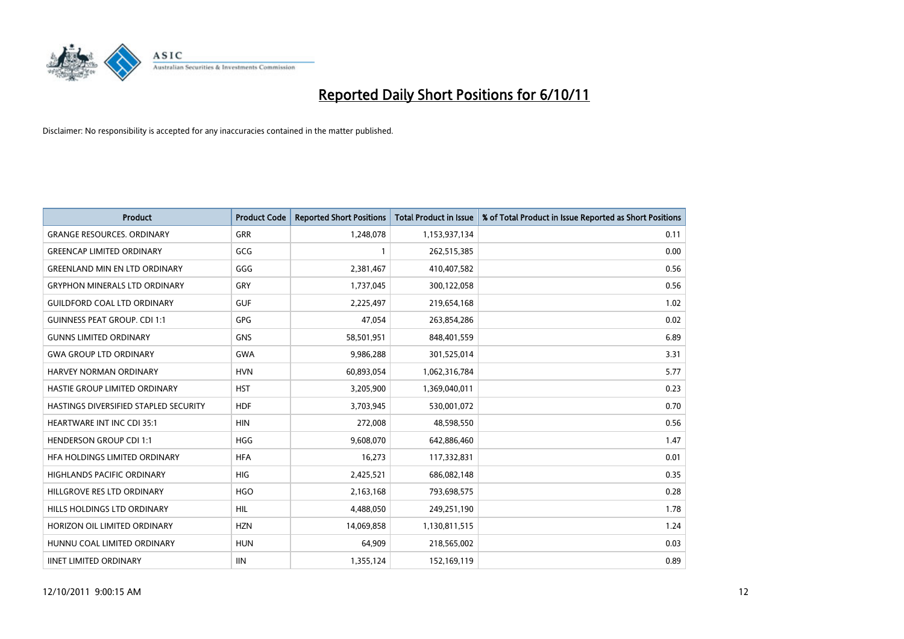

| <b>Product</b>                        | <b>Product Code</b> | <b>Reported Short Positions</b> | <b>Total Product in Issue</b> | % of Total Product in Issue Reported as Short Positions |
|---------------------------------------|---------------------|---------------------------------|-------------------------------|---------------------------------------------------------|
| <b>GRANGE RESOURCES, ORDINARY</b>     | <b>GRR</b>          | 1,248,078                       | 1,153,937,134                 | 0.11                                                    |
| <b>GREENCAP LIMITED ORDINARY</b>      | GCG                 |                                 | 262,515,385                   | 0.00                                                    |
| <b>GREENLAND MIN EN LTD ORDINARY</b>  | GGG                 | 2,381,467                       | 410,407,582                   | 0.56                                                    |
| <b>GRYPHON MINERALS LTD ORDINARY</b>  | GRY                 | 1,737,045                       | 300,122,058                   | 0.56                                                    |
| <b>GUILDFORD COAL LTD ORDINARY</b>    | <b>GUF</b>          | 2,225,497                       | 219,654,168                   | 1.02                                                    |
| <b>GUINNESS PEAT GROUP. CDI 1:1</b>   | <b>GPG</b>          | 47,054                          | 263,854,286                   | 0.02                                                    |
| <b>GUNNS LIMITED ORDINARY</b>         | <b>GNS</b>          | 58,501,951                      | 848,401,559                   | 6.89                                                    |
| <b>GWA GROUP LTD ORDINARY</b>         | <b>GWA</b>          | 9,986,288                       | 301,525,014                   | 3.31                                                    |
| HARVEY NORMAN ORDINARY                | <b>HVN</b>          | 60,893,054                      | 1,062,316,784                 | 5.77                                                    |
| <b>HASTIE GROUP LIMITED ORDINARY</b>  | <b>HST</b>          | 3,205,900                       | 1,369,040,011                 | 0.23                                                    |
| HASTINGS DIVERSIFIED STAPLED SECURITY | <b>HDF</b>          | 3,703,945                       | 530,001,072                   | 0.70                                                    |
| <b>HEARTWARE INT INC CDI 35:1</b>     | <b>HIN</b>          | 272,008                         | 48,598,550                    | 0.56                                                    |
| <b>HENDERSON GROUP CDI 1:1</b>        | <b>HGG</b>          | 9,608,070                       | 642,886,460                   | 1.47                                                    |
| HFA HOLDINGS LIMITED ORDINARY         | <b>HFA</b>          | 16,273                          | 117,332,831                   | 0.01                                                    |
| <b>HIGHLANDS PACIFIC ORDINARY</b>     | <b>HIG</b>          | 2,425,521                       | 686,082,148                   | 0.35                                                    |
| HILLGROVE RES LTD ORDINARY            | <b>HGO</b>          | 2,163,168                       | 793,698,575                   | 0.28                                                    |
| HILLS HOLDINGS LTD ORDINARY           | <b>HIL</b>          | 4,488,050                       | 249,251,190                   | 1.78                                                    |
| HORIZON OIL LIMITED ORDINARY          | <b>HZN</b>          | 14,069,858                      | 1,130,811,515                 | 1.24                                                    |
| HUNNU COAL LIMITED ORDINARY           | <b>HUN</b>          | 64,909                          | 218,565,002                   | 0.03                                                    |
| <b>IINET LIMITED ORDINARY</b>         | <b>IIN</b>          | 1,355,124                       | 152,169,119                   | 0.89                                                    |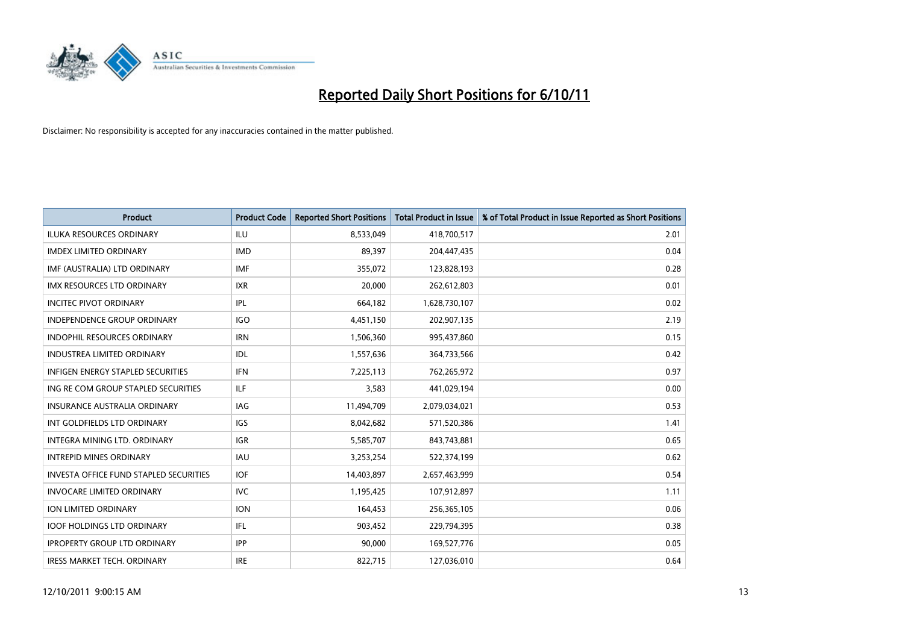

| <b>Product</b>                         | <b>Product Code</b> | <b>Reported Short Positions</b> | <b>Total Product in Issue</b> | % of Total Product in Issue Reported as Short Positions |
|----------------------------------------|---------------------|---------------------------------|-------------------------------|---------------------------------------------------------|
| <b>ILUKA RESOURCES ORDINARY</b>        | ILU                 | 8,533,049                       | 418,700,517                   | 2.01                                                    |
| <b>IMDEX LIMITED ORDINARY</b>          | <b>IMD</b>          | 89,397                          | 204,447,435                   | 0.04                                                    |
| IMF (AUSTRALIA) LTD ORDINARY           | <b>IMF</b>          | 355,072                         | 123,828,193                   | 0.28                                                    |
| IMX RESOURCES LTD ORDINARY             | <b>IXR</b>          | 20,000                          | 262,612,803                   | 0.01                                                    |
| <b>INCITEC PIVOT ORDINARY</b>          | IPL                 | 664,182                         | 1,628,730,107                 | 0.02                                                    |
| <b>INDEPENDENCE GROUP ORDINARY</b>     | <b>IGO</b>          | 4,451,150                       | 202,907,135                   | 2.19                                                    |
| <b>INDOPHIL RESOURCES ORDINARY</b>     | <b>IRN</b>          | 1,506,360                       | 995,437,860                   | 0.15                                                    |
| <b>INDUSTREA LIMITED ORDINARY</b>      | IDL                 | 1,557,636                       | 364,733,566                   | 0.42                                                    |
| INFIGEN ENERGY STAPLED SECURITIES      | <b>IFN</b>          | 7,225,113                       | 762,265,972                   | 0.97                                                    |
| ING RE COM GROUP STAPLED SECURITIES    | ILF.                | 3,583                           | 441,029,194                   | 0.00                                                    |
| <b>INSURANCE AUSTRALIA ORDINARY</b>    | IAG                 | 11,494,709                      | 2,079,034,021                 | 0.53                                                    |
| INT GOLDFIELDS LTD ORDINARY            | <b>IGS</b>          | 8,042,682                       | 571,520,386                   | 1.41                                                    |
| <b>INTEGRA MINING LTD, ORDINARY</b>    | <b>IGR</b>          | 5,585,707                       | 843,743,881                   | 0.65                                                    |
| <b>INTREPID MINES ORDINARY</b>         | <b>IAU</b>          | 3,253,254                       | 522,374,199                   | 0.62                                                    |
| INVESTA OFFICE FUND STAPLED SECURITIES | <b>IOF</b>          | 14,403,897                      | 2,657,463,999                 | 0.54                                                    |
| <b>INVOCARE LIMITED ORDINARY</b>       | <b>IVC</b>          | 1,195,425                       | 107,912,897                   | 1.11                                                    |
| ION LIMITED ORDINARY                   | <b>ION</b>          | 164,453                         | 256,365,105                   | 0.06                                                    |
| <b>IOOF HOLDINGS LTD ORDINARY</b>      | IFL.                | 903,452                         | 229,794,395                   | 0.38                                                    |
| <b>IPROPERTY GROUP LTD ORDINARY</b>    | <b>IPP</b>          | 90,000                          | 169,527,776                   | 0.05                                                    |
| <b>IRESS MARKET TECH. ORDINARY</b>     | <b>IRE</b>          | 822,715                         | 127,036,010                   | 0.64                                                    |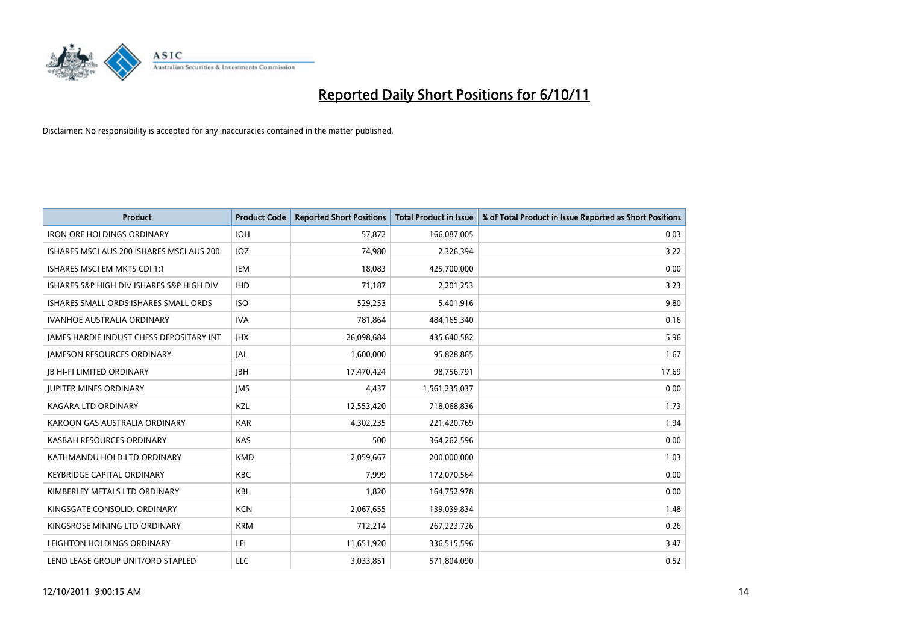

| <b>Product</b>                            | <b>Product Code</b> | <b>Reported Short Positions</b> | <b>Total Product in Issue</b> | % of Total Product in Issue Reported as Short Positions |
|-------------------------------------------|---------------------|---------------------------------|-------------------------------|---------------------------------------------------------|
| <b>IRON ORE HOLDINGS ORDINARY</b>         | <b>IOH</b>          | 57,872                          | 166,087,005                   | 0.03                                                    |
| ISHARES MSCI AUS 200 ISHARES MSCI AUS 200 | IOZ                 | 74,980                          | 2,326,394                     | 3.22                                                    |
| ISHARES MSCI EM MKTS CDI 1:1              | IEM                 | 18,083                          | 425,700,000                   | 0.00                                                    |
| ISHARES S&P HIGH DIV ISHARES S&P HIGH DIV | <b>IHD</b>          | 71,187                          | 2,201,253                     | 3.23                                                    |
| ISHARES SMALL ORDS ISHARES SMALL ORDS     | <b>ISO</b>          | 529,253                         | 5,401,916                     | 9.80                                                    |
| <b>IVANHOE AUSTRALIA ORDINARY</b>         | <b>IVA</b>          | 781,864                         | 484,165,340                   | 0.16                                                    |
| JAMES HARDIE INDUST CHESS DEPOSITARY INT  | <b>IHX</b>          | 26,098,684                      | 435,640,582                   | 5.96                                                    |
| <b>JAMESON RESOURCES ORDINARY</b>         | <b>JAL</b>          | 1,600,000                       | 95,828,865                    | 1.67                                                    |
| <b>JB HI-FI LIMITED ORDINARY</b>          | <b>IBH</b>          | 17,470,424                      | 98,756,791                    | 17.69                                                   |
| <b>JUPITER MINES ORDINARY</b>             | <b>IMS</b>          | 4,437                           | 1,561,235,037                 | 0.00                                                    |
| KAGARA LTD ORDINARY                       | KZL                 | 12,553,420                      | 718,068,836                   | 1.73                                                    |
| KAROON GAS AUSTRALIA ORDINARY             | <b>KAR</b>          | 4,302,235                       | 221,420,769                   | 1.94                                                    |
| KASBAH RESOURCES ORDINARY                 | KAS                 | 500                             | 364,262,596                   | 0.00                                                    |
| KATHMANDU HOLD LTD ORDINARY               | <b>KMD</b>          | 2,059,667                       | 200,000,000                   | 1.03                                                    |
| <b>KEYBRIDGE CAPITAL ORDINARY</b>         | <b>KBC</b>          | 7,999                           | 172,070,564                   | 0.00                                                    |
| KIMBERLEY METALS LTD ORDINARY             | <b>KBL</b>          | 1,820                           | 164,752,978                   | 0.00                                                    |
| KINGSGATE CONSOLID. ORDINARY              | <b>KCN</b>          | 2,067,655                       | 139,039,834                   | 1.48                                                    |
| KINGSROSE MINING LTD ORDINARY             | <b>KRM</b>          | 712,214                         | 267,223,726                   | 0.26                                                    |
| LEIGHTON HOLDINGS ORDINARY                | LEI                 | 11,651,920                      | 336,515,596                   | 3.47                                                    |
| LEND LEASE GROUP UNIT/ORD STAPLED         | LLC                 | 3,033,851                       | 571,804,090                   | 0.52                                                    |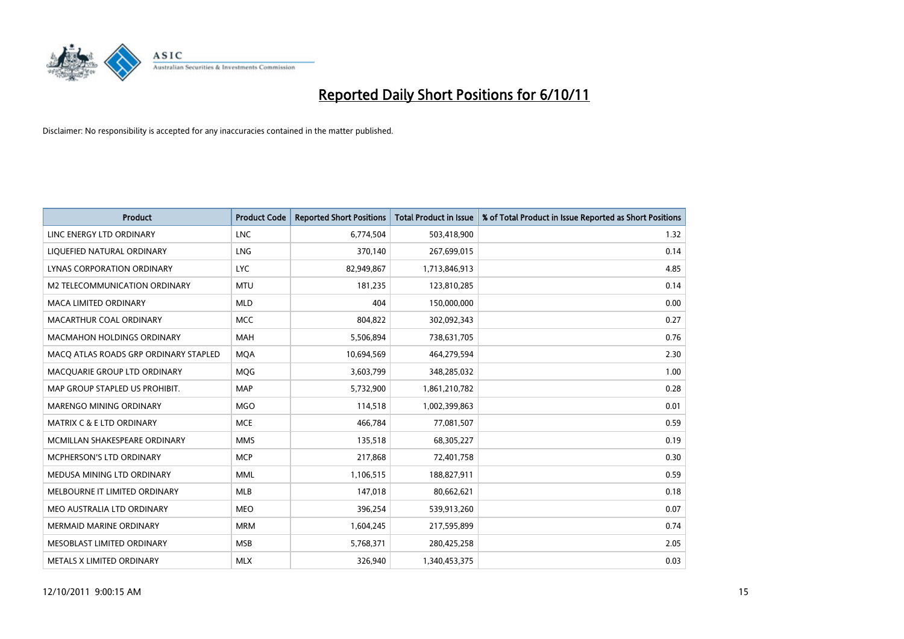

| <b>Product</b>                        | <b>Product Code</b> | <b>Reported Short Positions</b> | <b>Total Product in Issue</b> | % of Total Product in Issue Reported as Short Positions |
|---------------------------------------|---------------------|---------------------------------|-------------------------------|---------------------------------------------------------|
| LINC ENERGY LTD ORDINARY              | <b>LNC</b>          | 6,774,504                       | 503,418,900                   | 1.32                                                    |
| LIQUEFIED NATURAL ORDINARY            | <b>LNG</b>          | 370,140                         | 267,699,015                   | 0.14                                                    |
| <b>LYNAS CORPORATION ORDINARY</b>     | <b>LYC</b>          | 82,949,867                      | 1,713,846,913                 | 4.85                                                    |
| M2 TELECOMMUNICATION ORDINARY         | <b>MTU</b>          | 181,235                         | 123,810,285                   | 0.14                                                    |
| <b>MACA LIMITED ORDINARY</b>          | <b>MLD</b>          | 404                             | 150,000,000                   | 0.00                                                    |
| MACARTHUR COAL ORDINARY               | <b>MCC</b>          | 804,822                         | 302,092,343                   | 0.27                                                    |
| <b>MACMAHON HOLDINGS ORDINARY</b>     | <b>MAH</b>          | 5,506,894                       | 738,631,705                   | 0.76                                                    |
| MACO ATLAS ROADS GRP ORDINARY STAPLED | <b>MQA</b>          | 10,694,569                      | 464,279,594                   | 2.30                                                    |
| MACQUARIE GROUP LTD ORDINARY          | <b>MOG</b>          | 3,603,799                       | 348,285,032                   | 1.00                                                    |
| MAP GROUP STAPLED US PROHIBIT.        | <b>MAP</b>          | 5,732,900                       | 1,861,210,782                 | 0.28                                                    |
| MARENGO MINING ORDINARY               | <b>MGO</b>          | 114,518                         | 1,002,399,863                 | 0.01                                                    |
| <b>MATRIX C &amp; E LTD ORDINARY</b>  | <b>MCE</b>          | 466,784                         | 77,081,507                    | 0.59                                                    |
| MCMILLAN SHAKESPEARE ORDINARY         | <b>MMS</b>          | 135,518                         | 68,305,227                    | 0.19                                                    |
| <b>MCPHERSON'S LTD ORDINARY</b>       | <b>MCP</b>          | 217,868                         | 72,401,758                    | 0.30                                                    |
| MEDUSA MINING LTD ORDINARY            | <b>MML</b>          | 1,106,515                       | 188,827,911                   | 0.59                                                    |
| MELBOURNE IT LIMITED ORDINARY         | <b>MLB</b>          | 147,018                         | 80,662,621                    | 0.18                                                    |
| MEO AUSTRALIA LTD ORDINARY            | <b>MEO</b>          | 396,254                         | 539,913,260                   | 0.07                                                    |
| <b>MERMAID MARINE ORDINARY</b>        | <b>MRM</b>          | 1,604,245                       | 217,595,899                   | 0.74                                                    |
| MESOBLAST LIMITED ORDINARY            | <b>MSB</b>          | 5,768,371                       | 280,425,258                   | 2.05                                                    |
| METALS X LIMITED ORDINARY             | <b>MLX</b>          | 326.940                         | 1,340,453,375                 | 0.03                                                    |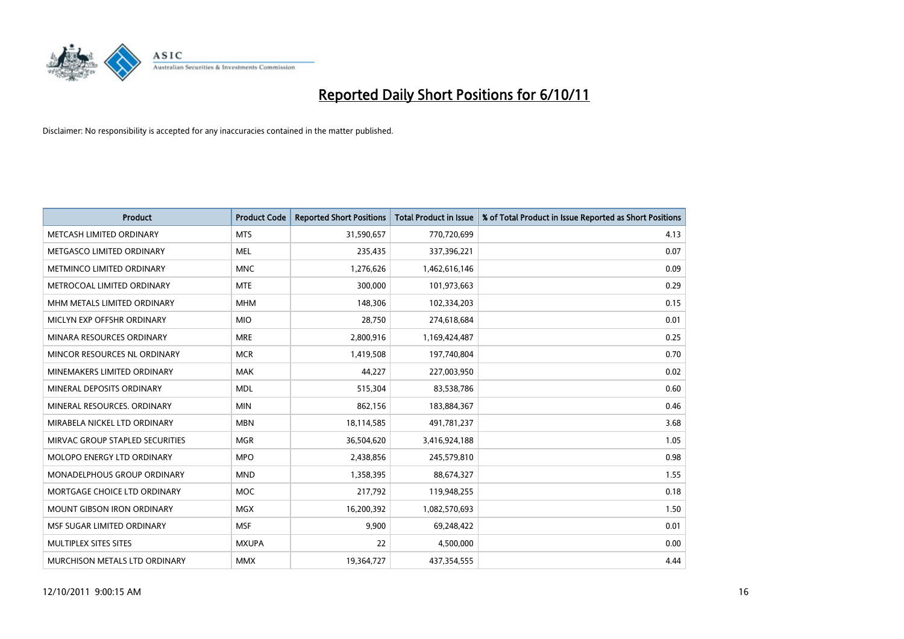

| <b>Product</b>                     | <b>Product Code</b> | <b>Reported Short Positions</b> | <b>Total Product in Issue</b> | % of Total Product in Issue Reported as Short Positions |
|------------------------------------|---------------------|---------------------------------|-------------------------------|---------------------------------------------------------|
| METCASH LIMITED ORDINARY           | <b>MTS</b>          | 31,590,657                      | 770,720,699                   | 4.13                                                    |
| METGASCO LIMITED ORDINARY          | <b>MEL</b>          | 235,435                         | 337,396,221                   | 0.07                                                    |
| METMINCO LIMITED ORDINARY          | <b>MNC</b>          | 1,276,626                       | 1,462,616,146                 | 0.09                                                    |
| METROCOAL LIMITED ORDINARY         | <b>MTE</b>          | 300,000                         | 101,973,663                   | 0.29                                                    |
| MHM METALS LIMITED ORDINARY        | <b>MHM</b>          | 148,306                         | 102,334,203                   | 0.15                                                    |
| MICLYN EXP OFFSHR ORDINARY         | <b>MIO</b>          | 28,750                          | 274,618,684                   | 0.01                                                    |
| MINARA RESOURCES ORDINARY          | <b>MRE</b>          | 2,800,916                       | 1,169,424,487                 | 0.25                                                    |
| MINCOR RESOURCES NL ORDINARY       | <b>MCR</b>          | 1,419,508                       | 197,740,804                   | 0.70                                                    |
| MINEMAKERS LIMITED ORDINARY        | <b>MAK</b>          | 44,227                          | 227,003,950                   | 0.02                                                    |
| MINERAL DEPOSITS ORDINARY          | <b>MDL</b>          | 515,304                         | 83,538,786                    | 0.60                                                    |
| MINERAL RESOURCES. ORDINARY        | <b>MIN</b>          | 862,156                         | 183,884,367                   | 0.46                                                    |
| MIRABELA NICKEL LTD ORDINARY       | <b>MBN</b>          | 18,114,585                      | 491,781,237                   | 3.68                                                    |
| MIRVAC GROUP STAPLED SECURITIES    | <b>MGR</b>          | 36,504,620                      | 3,416,924,188                 | 1.05                                                    |
| MOLOPO ENERGY LTD ORDINARY         | <b>MPO</b>          | 2,438,856                       | 245,579,810                   | 0.98                                                    |
| <b>MONADELPHOUS GROUP ORDINARY</b> | <b>MND</b>          | 1,358,395                       | 88,674,327                    | 1.55                                                    |
| MORTGAGE CHOICE LTD ORDINARY       | <b>MOC</b>          | 217,792                         | 119,948,255                   | 0.18                                                    |
| MOUNT GIBSON IRON ORDINARY         | <b>MGX</b>          | 16,200,392                      | 1,082,570,693                 | 1.50                                                    |
| MSF SUGAR LIMITED ORDINARY         | <b>MSF</b>          | 9,900                           | 69,248,422                    | 0.01                                                    |
| MULTIPLEX SITES SITES              | <b>MXUPA</b>        | 22                              | 4,500,000                     | 0.00                                                    |
| MURCHISON METALS LTD ORDINARY      | <b>MMX</b>          | 19,364,727                      | 437,354,555                   | 4.44                                                    |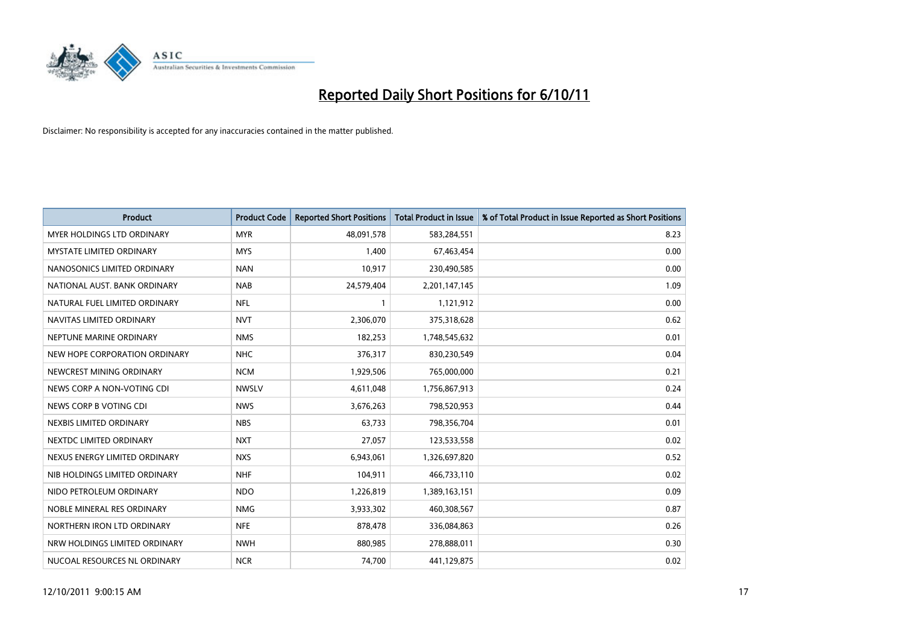

| <b>Product</b>                    | <b>Product Code</b> | <b>Reported Short Positions</b> | <b>Total Product in Issue</b> | % of Total Product in Issue Reported as Short Positions |
|-----------------------------------|---------------------|---------------------------------|-------------------------------|---------------------------------------------------------|
| <b>MYER HOLDINGS LTD ORDINARY</b> | <b>MYR</b>          | 48,091,578                      | 583,284,551                   | 8.23                                                    |
| MYSTATE LIMITED ORDINARY          | <b>MYS</b>          | 1,400                           | 67,463,454                    | 0.00                                                    |
| NANOSONICS LIMITED ORDINARY       | <b>NAN</b>          | 10,917                          | 230,490,585                   | 0.00                                                    |
| NATIONAL AUST. BANK ORDINARY      | <b>NAB</b>          | 24,579,404                      | 2,201,147,145                 | 1.09                                                    |
| NATURAL FUEL LIMITED ORDINARY     | <b>NFL</b>          |                                 | 1,121,912                     | 0.00                                                    |
| NAVITAS LIMITED ORDINARY          | <b>NVT</b>          | 2,306,070                       | 375,318,628                   | 0.62                                                    |
| NEPTUNE MARINE ORDINARY           | <b>NMS</b>          | 182,253                         | 1,748,545,632                 | 0.01                                                    |
| NEW HOPE CORPORATION ORDINARY     | <b>NHC</b>          | 376,317                         | 830,230,549                   | 0.04                                                    |
| NEWCREST MINING ORDINARY          | <b>NCM</b>          | 1,929,506                       | 765,000,000                   | 0.21                                                    |
| NEWS CORP A NON-VOTING CDI        | <b>NWSLV</b>        | 4,611,048                       | 1,756,867,913                 | 0.24                                                    |
| NEWS CORP B VOTING CDI            | <b>NWS</b>          | 3,676,263                       | 798,520,953                   | 0.44                                                    |
| NEXBIS LIMITED ORDINARY           | <b>NBS</b>          | 63,733                          | 798,356,704                   | 0.01                                                    |
| NEXTDC LIMITED ORDINARY           | <b>NXT</b>          | 27,057                          | 123,533,558                   | 0.02                                                    |
| NEXUS ENERGY LIMITED ORDINARY     | <b>NXS</b>          | 6,943,061                       | 1,326,697,820                 | 0.52                                                    |
| NIB HOLDINGS LIMITED ORDINARY     | <b>NHF</b>          | 104,911                         | 466,733,110                   | 0.02                                                    |
| NIDO PETROLEUM ORDINARY           | <b>NDO</b>          | 1,226,819                       | 1,389,163,151                 | 0.09                                                    |
| NOBLE MINERAL RES ORDINARY        | <b>NMG</b>          | 3,933,302                       | 460,308,567                   | 0.87                                                    |
| NORTHERN IRON LTD ORDINARY        | <b>NFE</b>          | 878,478                         | 336,084,863                   | 0.26                                                    |
| NRW HOLDINGS LIMITED ORDINARY     | <b>NWH</b>          | 880,985                         | 278,888,011                   | 0.30                                                    |
| NUCOAL RESOURCES NL ORDINARY      | <b>NCR</b>          | 74,700                          | 441,129,875                   | 0.02                                                    |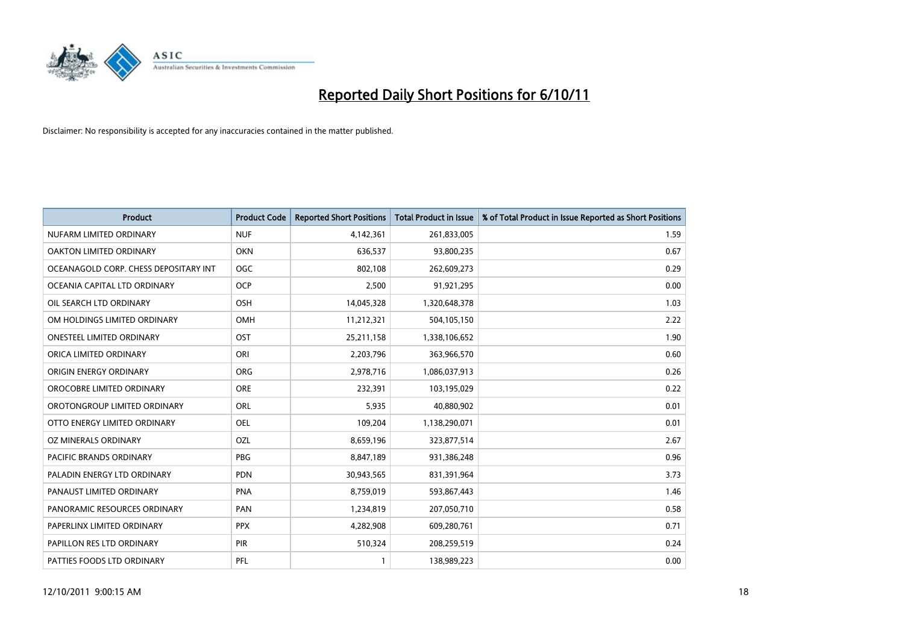

| <b>Product</b>                        | <b>Product Code</b> | <b>Reported Short Positions</b> | <b>Total Product in Issue</b> | % of Total Product in Issue Reported as Short Positions |
|---------------------------------------|---------------------|---------------------------------|-------------------------------|---------------------------------------------------------|
| NUFARM LIMITED ORDINARY               | <b>NUF</b>          | 4,142,361                       | 261,833,005                   | 1.59                                                    |
| OAKTON LIMITED ORDINARY               | <b>OKN</b>          | 636,537                         | 93,800,235                    | 0.67                                                    |
| OCEANAGOLD CORP. CHESS DEPOSITARY INT | <b>OGC</b>          | 802,108                         | 262,609,273                   | 0.29                                                    |
| OCEANIA CAPITAL LTD ORDINARY          | <b>OCP</b>          | 2,500                           | 91,921,295                    | 0.00                                                    |
| OIL SEARCH LTD ORDINARY               | <b>OSH</b>          | 14,045,328                      | 1,320,648,378                 | 1.03                                                    |
| OM HOLDINGS LIMITED ORDINARY          | OMH                 | 11,212,321                      | 504,105,150                   | 2.22                                                    |
| <b>ONESTEEL LIMITED ORDINARY</b>      | OST                 | 25,211,158                      | 1,338,106,652                 | 1.90                                                    |
| ORICA LIMITED ORDINARY                | ORI                 | 2,203,796                       | 363,966,570                   | 0.60                                                    |
| ORIGIN ENERGY ORDINARY                | <b>ORG</b>          | 2,978,716                       | 1,086,037,913                 | 0.26                                                    |
| OROCOBRE LIMITED ORDINARY             | <b>ORE</b>          | 232,391                         | 103,195,029                   | 0.22                                                    |
| OROTONGROUP LIMITED ORDINARY          | <b>ORL</b>          | 5,935                           | 40,880,902                    | 0.01                                                    |
| OTTO ENERGY LIMITED ORDINARY          | OEL                 | 109,204                         | 1,138,290,071                 | 0.01                                                    |
| OZ MINERALS ORDINARY                  | OZL                 | 8,659,196                       | 323,877,514                   | 2.67                                                    |
| <b>PACIFIC BRANDS ORDINARY</b>        | <b>PBG</b>          | 8,847,189                       | 931,386,248                   | 0.96                                                    |
| PALADIN ENERGY LTD ORDINARY           | <b>PDN</b>          | 30,943,565                      | 831,391,964                   | 3.73                                                    |
| PANAUST LIMITED ORDINARY              | <b>PNA</b>          | 8,759,019                       | 593,867,443                   | 1.46                                                    |
| PANORAMIC RESOURCES ORDINARY          | PAN                 | 1,234,819                       | 207,050,710                   | 0.58                                                    |
| PAPERLINX LIMITED ORDINARY            | <b>PPX</b>          | 4,282,908                       | 609,280,761                   | 0.71                                                    |
| PAPILLON RES LTD ORDINARY             | <b>PIR</b>          | 510,324                         | 208,259,519                   | 0.24                                                    |
| PATTIES FOODS LTD ORDINARY            | PFL                 |                                 | 138,989,223                   | 0.00                                                    |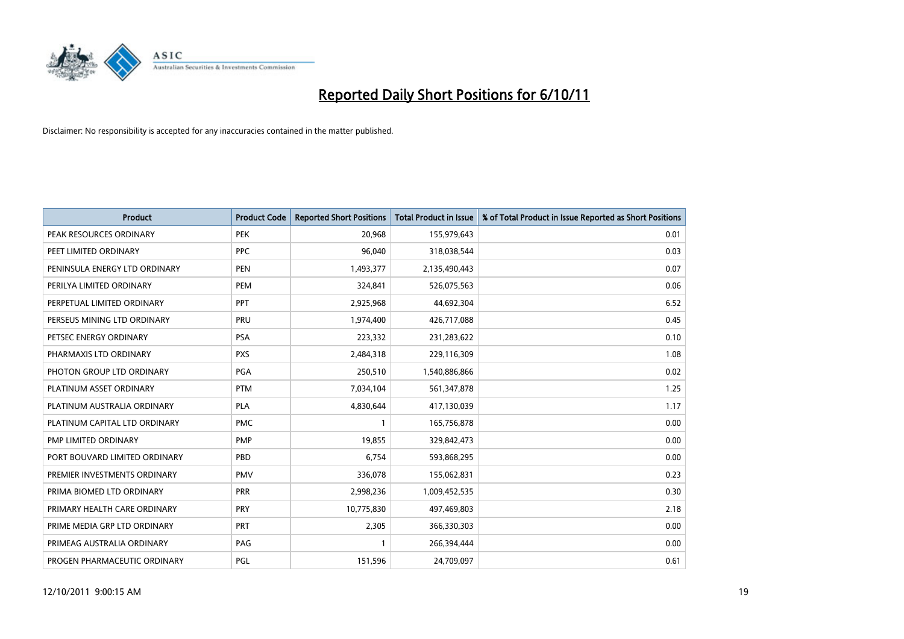

| <b>Product</b>                | <b>Product Code</b> | <b>Reported Short Positions</b> | <b>Total Product in Issue</b> | % of Total Product in Issue Reported as Short Positions |
|-------------------------------|---------------------|---------------------------------|-------------------------------|---------------------------------------------------------|
| PEAK RESOURCES ORDINARY       | <b>PEK</b>          | 20,968                          | 155,979,643                   | 0.01                                                    |
| PEET LIMITED ORDINARY         | <b>PPC</b>          | 96,040                          | 318,038,544                   | 0.03                                                    |
| PENINSULA ENERGY LTD ORDINARY | <b>PEN</b>          | 1,493,377                       | 2,135,490,443                 | 0.07                                                    |
| PERILYA LIMITED ORDINARY      | PEM                 | 324,841                         | 526,075,563                   | 0.06                                                    |
| PERPETUAL LIMITED ORDINARY    | <b>PPT</b>          | 2,925,968                       | 44,692,304                    | 6.52                                                    |
| PERSEUS MINING LTD ORDINARY   | PRU                 | 1,974,400                       | 426,717,088                   | 0.45                                                    |
| PETSEC ENERGY ORDINARY        | <b>PSA</b>          | 223,332                         | 231,283,622                   | 0.10                                                    |
| PHARMAXIS LTD ORDINARY        | <b>PXS</b>          | 2,484,318                       | 229,116,309                   | 1.08                                                    |
| PHOTON GROUP LTD ORDINARY     | <b>PGA</b>          | 250,510                         | 1,540,886,866                 | 0.02                                                    |
| PLATINUM ASSET ORDINARY       | <b>PTM</b>          | 7,034,104                       | 561,347,878                   | 1.25                                                    |
| PLATINUM AUSTRALIA ORDINARY   | <b>PLA</b>          | 4,830,644                       | 417,130,039                   | 1.17                                                    |
| PLATINUM CAPITAL LTD ORDINARY | <b>PMC</b>          |                                 | 165,756,878                   | 0.00                                                    |
| PMP LIMITED ORDINARY          | <b>PMP</b>          | 19,855                          | 329,842,473                   | 0.00                                                    |
| PORT BOUVARD LIMITED ORDINARY | PBD                 | 6,754                           | 593,868,295                   | 0.00                                                    |
| PREMIER INVESTMENTS ORDINARY  | <b>PMV</b>          | 336,078                         | 155,062,831                   | 0.23                                                    |
| PRIMA BIOMED LTD ORDINARY     | <b>PRR</b>          | 2,998,236                       | 1,009,452,535                 | 0.30                                                    |
| PRIMARY HEALTH CARE ORDINARY  | <b>PRY</b>          | 10,775,830                      | 497,469,803                   | 2.18                                                    |
| PRIME MEDIA GRP LTD ORDINARY  | <b>PRT</b>          | 2,305                           | 366,330,303                   | 0.00                                                    |
| PRIMEAG AUSTRALIA ORDINARY    | PAG                 |                                 | 266,394,444                   | 0.00                                                    |
| PROGEN PHARMACEUTIC ORDINARY  | PGL                 | 151,596                         | 24,709,097                    | 0.61                                                    |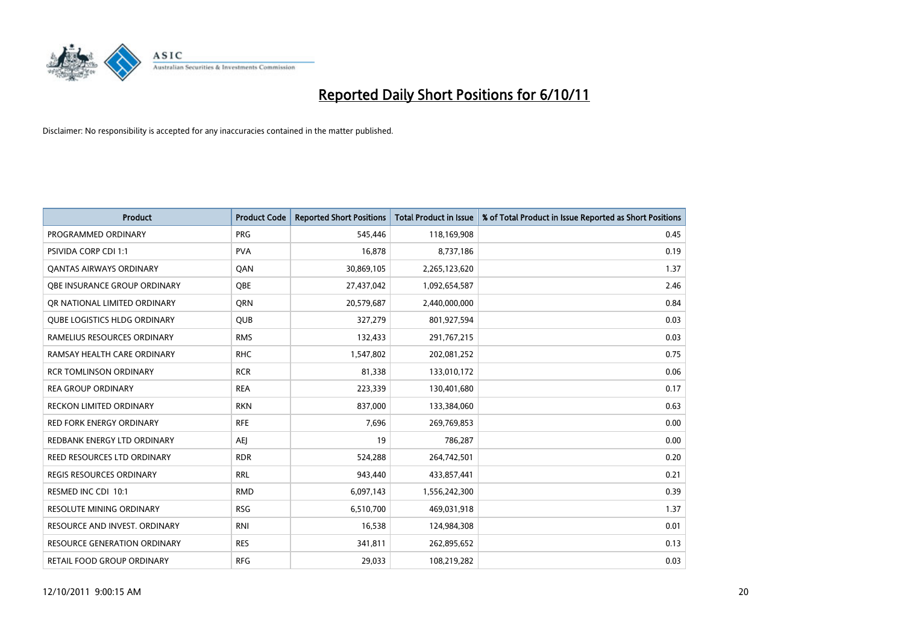

| <b>Product</b>                      | <b>Product Code</b> | <b>Reported Short Positions</b> | <b>Total Product in Issue</b> | % of Total Product in Issue Reported as Short Positions |
|-------------------------------------|---------------------|---------------------------------|-------------------------------|---------------------------------------------------------|
| PROGRAMMED ORDINARY                 | <b>PRG</b>          | 545,446                         | 118,169,908                   | 0.45                                                    |
| PSIVIDA CORP CDI 1:1                | <b>PVA</b>          | 16,878                          | 8,737,186                     | 0.19                                                    |
| <b>OANTAS AIRWAYS ORDINARY</b>      | QAN                 | 30,869,105                      | 2,265,123,620                 | 1.37                                                    |
| <b>OBE INSURANCE GROUP ORDINARY</b> | <b>OBE</b>          | 27,437,042                      | 1,092,654,587                 | 2.46                                                    |
| OR NATIONAL LIMITED ORDINARY        | <b>ORN</b>          | 20,579,687                      | 2,440,000,000                 | 0.84                                                    |
| <b>QUBE LOGISTICS HLDG ORDINARY</b> | <b>OUB</b>          | 327,279                         | 801,927,594                   | 0.03                                                    |
| RAMELIUS RESOURCES ORDINARY         | <b>RMS</b>          | 132,433                         | 291,767,215                   | 0.03                                                    |
| RAMSAY HEALTH CARE ORDINARY         | <b>RHC</b>          | 1,547,802                       | 202,081,252                   | 0.75                                                    |
| <b>RCR TOMLINSON ORDINARY</b>       | <b>RCR</b>          | 81,338                          | 133,010,172                   | 0.06                                                    |
| <b>REA GROUP ORDINARY</b>           | <b>REA</b>          | 223,339                         | 130,401,680                   | 0.17                                                    |
| RECKON LIMITED ORDINARY             | <b>RKN</b>          | 837,000                         | 133,384,060                   | 0.63                                                    |
| <b>RED FORK ENERGY ORDINARY</b>     | <b>RFE</b>          | 7,696                           | 269,769,853                   | 0.00                                                    |
| REDBANK ENERGY LTD ORDINARY         | AEI                 | 19                              | 786,287                       | 0.00                                                    |
| REED RESOURCES LTD ORDINARY         | <b>RDR</b>          | 524,288                         | 264,742,501                   | 0.20                                                    |
| <b>REGIS RESOURCES ORDINARY</b>     | <b>RRL</b>          | 943,440                         | 433,857,441                   | 0.21                                                    |
| RESMED INC CDI 10:1                 | <b>RMD</b>          | 6,097,143                       | 1,556,242,300                 | 0.39                                                    |
| RESOLUTE MINING ORDINARY            | <b>RSG</b>          | 6,510,700                       | 469,031,918                   | 1.37                                                    |
| RESOURCE AND INVEST. ORDINARY       | <b>RNI</b>          | 16,538                          | 124,984,308                   | 0.01                                                    |
| <b>RESOURCE GENERATION ORDINARY</b> | <b>RES</b>          | 341,811                         | 262,895,652                   | 0.13                                                    |
| RETAIL FOOD GROUP ORDINARY          | <b>RFG</b>          | 29,033                          | 108,219,282                   | 0.03                                                    |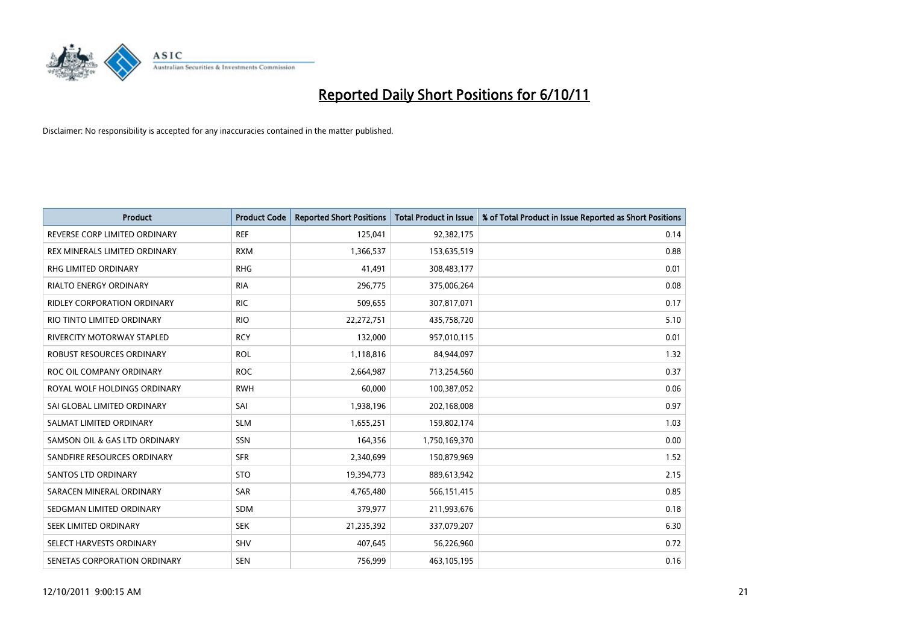

| <b>Product</b>                     | <b>Product Code</b> | <b>Reported Short Positions</b> | <b>Total Product in Issue</b> | % of Total Product in Issue Reported as Short Positions |
|------------------------------------|---------------------|---------------------------------|-------------------------------|---------------------------------------------------------|
| REVERSE CORP LIMITED ORDINARY      | <b>REF</b>          | 125,041                         | 92,382,175                    | 0.14                                                    |
| REX MINERALS LIMITED ORDINARY      | <b>RXM</b>          | 1,366,537                       | 153,635,519                   | 0.88                                                    |
| <b>RHG LIMITED ORDINARY</b>        | <b>RHG</b>          | 41,491                          | 308,483,177                   | 0.01                                                    |
| RIALTO ENERGY ORDINARY             | <b>RIA</b>          | 296,775                         | 375,006,264                   | 0.08                                                    |
| <b>RIDLEY CORPORATION ORDINARY</b> | <b>RIC</b>          | 509,655                         | 307,817,071                   | 0.17                                                    |
| RIO TINTO LIMITED ORDINARY         | <b>RIO</b>          | 22,272,751                      | 435,758,720                   | 5.10                                                    |
| <b>RIVERCITY MOTORWAY STAPLED</b>  | <b>RCY</b>          | 132,000                         | 957,010,115                   | 0.01                                                    |
| ROBUST RESOURCES ORDINARY          | <b>ROL</b>          | 1,118,816                       | 84,944,097                    | 1.32                                                    |
| ROC OIL COMPANY ORDINARY           | <b>ROC</b>          | 2,664,987                       | 713,254,560                   | 0.37                                                    |
| ROYAL WOLF HOLDINGS ORDINARY       | <b>RWH</b>          | 60.000                          | 100,387,052                   | 0.06                                                    |
| SAI GLOBAL LIMITED ORDINARY        | SAI                 | 1,938,196                       | 202,168,008                   | 0.97                                                    |
| SALMAT LIMITED ORDINARY            | <b>SLM</b>          | 1,655,251                       | 159,802,174                   | 1.03                                                    |
| SAMSON OIL & GAS LTD ORDINARY      | <b>SSN</b>          | 164,356                         | 1,750,169,370                 | 0.00                                                    |
| SANDFIRE RESOURCES ORDINARY        | <b>SFR</b>          | 2,340,699                       | 150,879,969                   | 1.52                                                    |
| <b>SANTOS LTD ORDINARY</b>         | <b>STO</b>          | 19,394,773                      | 889,613,942                   | 2.15                                                    |
| SARACEN MINERAL ORDINARY           | SAR                 | 4,765,480                       | 566,151,415                   | 0.85                                                    |
| SEDGMAN LIMITED ORDINARY           | <b>SDM</b>          | 379,977                         | 211,993,676                   | 0.18                                                    |
| <b>SEEK LIMITED ORDINARY</b>       | <b>SEK</b>          | 21,235,392                      | 337,079,207                   | 6.30                                                    |
| SELECT HARVESTS ORDINARY           | SHV                 | 407,645                         | 56,226,960                    | 0.72                                                    |
| SENETAS CORPORATION ORDINARY       | <b>SEN</b>          | 756,999                         | 463,105,195                   | 0.16                                                    |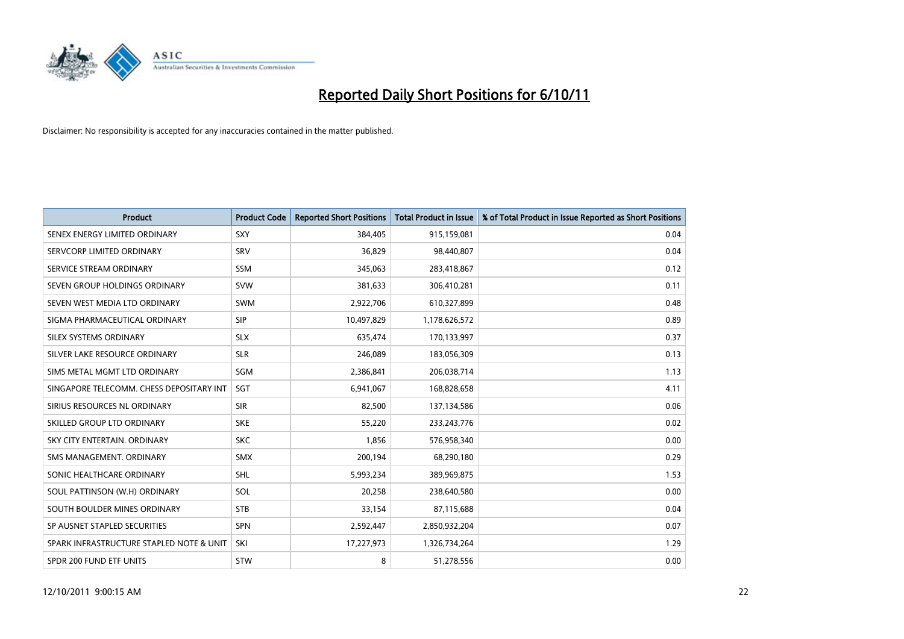

| <b>Product</b>                           | <b>Product Code</b> | <b>Reported Short Positions</b> | <b>Total Product in Issue</b> | % of Total Product in Issue Reported as Short Positions |
|------------------------------------------|---------------------|---------------------------------|-------------------------------|---------------------------------------------------------|
| SENEX ENERGY LIMITED ORDINARY            | <b>SXY</b>          | 384,405                         | 915,159,081                   | 0.04                                                    |
| SERVCORP LIMITED ORDINARY                | SRV                 | 36,829                          | 98,440,807                    | 0.04                                                    |
| SERVICE STREAM ORDINARY                  | <b>SSM</b>          | 345,063                         | 283,418,867                   | 0.12                                                    |
| SEVEN GROUP HOLDINGS ORDINARY            | <b>SVW</b>          | 381,633                         | 306,410,281                   | 0.11                                                    |
| SEVEN WEST MEDIA LTD ORDINARY            | <b>SWM</b>          | 2,922,706                       | 610,327,899                   | 0.48                                                    |
| SIGMA PHARMACEUTICAL ORDINARY            | <b>SIP</b>          | 10,497,829                      | 1,178,626,572                 | 0.89                                                    |
| SILEX SYSTEMS ORDINARY                   | <b>SLX</b>          | 635.474                         | 170,133,997                   | 0.37                                                    |
| SILVER LAKE RESOURCE ORDINARY            | <b>SLR</b>          | 246,089                         | 183,056,309                   | 0.13                                                    |
| SIMS METAL MGMT LTD ORDINARY             | SGM                 | 2,386,841                       | 206,038,714                   | 1.13                                                    |
| SINGAPORE TELECOMM. CHESS DEPOSITARY INT | SGT                 | 6,941,067                       | 168,828,658                   | 4.11                                                    |
| SIRIUS RESOURCES NL ORDINARY             | <b>SIR</b>          | 82,500                          | 137,134,586                   | 0.06                                                    |
| SKILLED GROUP LTD ORDINARY               | <b>SKE</b>          | 55,220                          | 233, 243, 776                 | 0.02                                                    |
| SKY CITY ENTERTAIN. ORDINARY             | <b>SKC</b>          | 1,856                           | 576,958,340                   | 0.00                                                    |
| SMS MANAGEMENT, ORDINARY                 | <b>SMX</b>          | 200,194                         | 68,290,180                    | 0.29                                                    |
| SONIC HEALTHCARE ORDINARY                | <b>SHL</b>          | 5,993,234                       | 389,969,875                   | 1.53                                                    |
| SOUL PATTINSON (W.H) ORDINARY            | SOL                 | 20,258                          | 238,640,580                   | 0.00                                                    |
| SOUTH BOULDER MINES ORDINARY             | <b>STB</b>          | 33,154                          | 87,115,688                    | 0.04                                                    |
| SP AUSNET STAPLED SECURITIES             | <b>SPN</b>          | 2,592,447                       | 2,850,932,204                 | 0.07                                                    |
| SPARK INFRASTRUCTURE STAPLED NOTE & UNIT | SKI                 | 17,227,973                      | 1,326,734,264                 | 1.29                                                    |
| SPDR 200 FUND ETF UNITS                  | <b>STW</b>          | 8                               | 51,278,556                    | 0.00                                                    |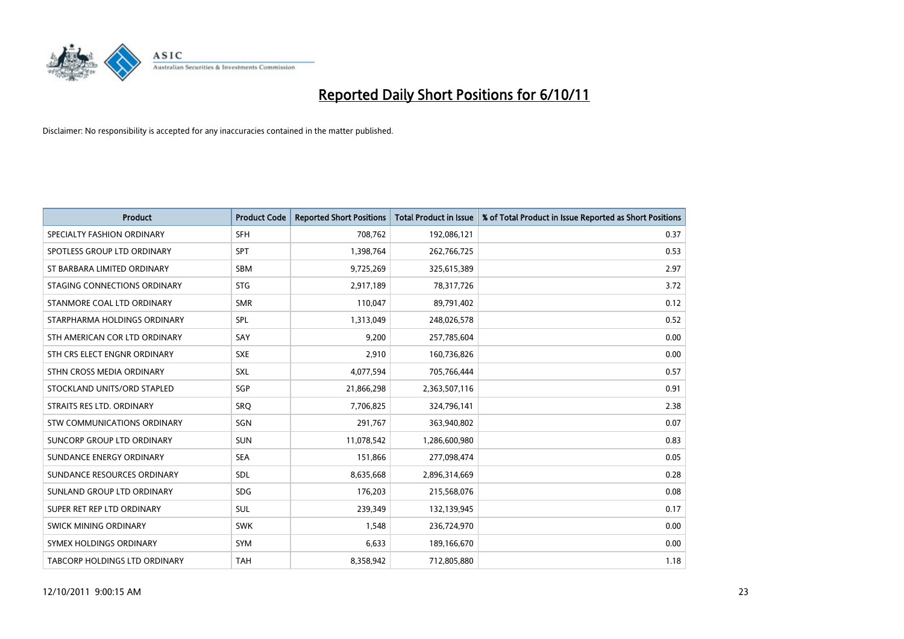

| <b>Product</b>                | <b>Product Code</b> | <b>Reported Short Positions</b> | <b>Total Product in Issue</b> | % of Total Product in Issue Reported as Short Positions |
|-------------------------------|---------------------|---------------------------------|-------------------------------|---------------------------------------------------------|
| SPECIALTY FASHION ORDINARY    | <b>SFH</b>          | 708,762                         | 192,086,121                   | 0.37                                                    |
| SPOTLESS GROUP LTD ORDINARY   | <b>SPT</b>          | 1,398,764                       | 262,766,725                   | 0.53                                                    |
| ST BARBARA LIMITED ORDINARY   | <b>SBM</b>          | 9,725,269                       | 325,615,389                   | 2.97                                                    |
| STAGING CONNECTIONS ORDINARY  | <b>STG</b>          | 2,917,189                       | 78,317,726                    | 3.72                                                    |
| STANMORE COAL LTD ORDINARY    | <b>SMR</b>          | 110,047                         | 89,791,402                    | 0.12                                                    |
| STARPHARMA HOLDINGS ORDINARY  | <b>SPL</b>          | 1,313,049                       | 248,026,578                   | 0.52                                                    |
| STH AMERICAN COR LTD ORDINARY | SAY                 | 9,200                           | 257,785,604                   | 0.00                                                    |
| STH CRS ELECT ENGNR ORDINARY  | <b>SXE</b>          | 2,910                           | 160,736,826                   | 0.00                                                    |
| STHN CROSS MEDIA ORDINARY     | <b>SXL</b>          | 4,077,594                       | 705,766,444                   | 0.57                                                    |
| STOCKLAND UNITS/ORD STAPLED   | SGP                 | 21,866,298                      | 2,363,507,116                 | 0.91                                                    |
| STRAITS RES LTD. ORDINARY     | SRO                 | 7,706,825                       | 324,796,141                   | 2.38                                                    |
| STW COMMUNICATIONS ORDINARY   | SGN                 | 291,767                         | 363,940,802                   | 0.07                                                    |
| SUNCORP GROUP LTD ORDINARY    | <b>SUN</b>          | 11,078,542                      | 1,286,600,980                 | 0.83                                                    |
| SUNDANCE ENERGY ORDINARY      | <b>SEA</b>          | 151,866                         | 277,098,474                   | 0.05                                                    |
| SUNDANCE RESOURCES ORDINARY   | <b>SDL</b>          | 8,635,668                       | 2,896,314,669                 | 0.28                                                    |
| SUNLAND GROUP LTD ORDINARY    | <b>SDG</b>          | 176,203                         | 215,568,076                   | 0.08                                                    |
| SUPER RET REP LTD ORDINARY    | <b>SUL</b>          | 239,349                         | 132,139,945                   | 0.17                                                    |
| <b>SWICK MINING ORDINARY</b>  | <b>SWK</b>          | 1,548                           | 236,724,970                   | 0.00                                                    |
| SYMEX HOLDINGS ORDINARY       | <b>SYM</b>          | 6,633                           | 189,166,670                   | 0.00                                                    |
| TABCORP HOLDINGS LTD ORDINARY | <b>TAH</b>          | 8,358,942                       | 712,805,880                   | 1.18                                                    |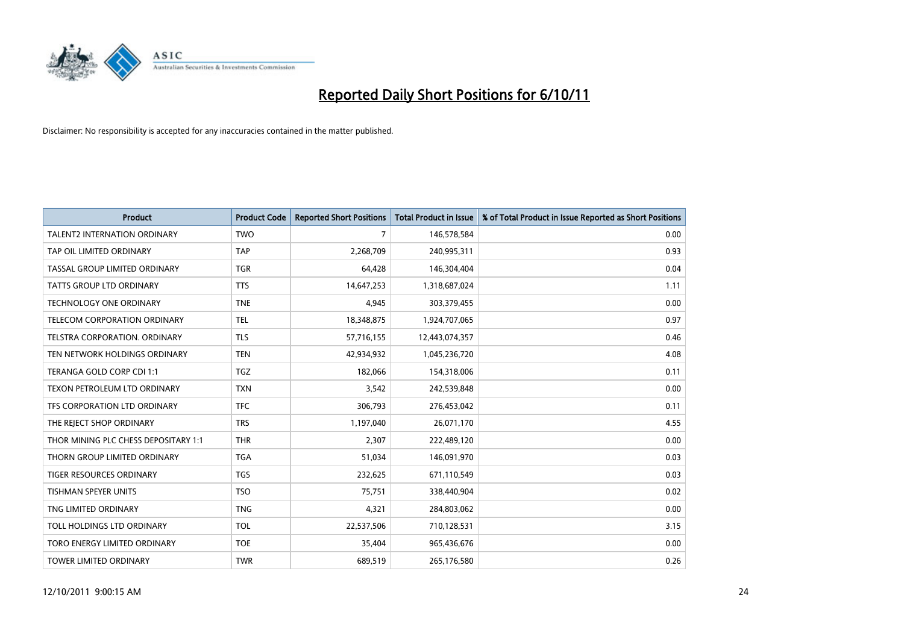

| <b>Product</b>                       | <b>Product Code</b> | <b>Reported Short Positions</b> | <b>Total Product in Issue</b> | % of Total Product in Issue Reported as Short Positions |
|--------------------------------------|---------------------|---------------------------------|-------------------------------|---------------------------------------------------------|
| <b>TALENT2 INTERNATION ORDINARY</b>  | <b>TWO</b>          | 7                               | 146,578,584                   | 0.00                                                    |
| TAP OIL LIMITED ORDINARY             | <b>TAP</b>          | 2,268,709                       | 240,995,311                   | 0.93                                                    |
| TASSAL GROUP LIMITED ORDINARY        | <b>TGR</b>          | 64,428                          | 146,304,404                   | 0.04                                                    |
| TATTS GROUP LTD ORDINARY             | <b>TTS</b>          | 14,647,253                      | 1,318,687,024                 | 1.11                                                    |
| <b>TECHNOLOGY ONE ORDINARY</b>       | <b>TNE</b>          | 4,945                           | 303,379,455                   | 0.00                                                    |
| <b>TELECOM CORPORATION ORDINARY</b>  | <b>TEL</b>          | 18,348,875                      | 1,924,707,065                 | 0.97                                                    |
| TELSTRA CORPORATION, ORDINARY        | <b>TLS</b>          | 57,716,155                      | 12,443,074,357                | 0.46                                                    |
| TEN NETWORK HOLDINGS ORDINARY        | <b>TEN</b>          | 42,934,932                      | 1,045,236,720                 | 4.08                                                    |
| TERANGA GOLD CORP CDI 1:1            | <b>TGZ</b>          | 182,066                         | 154,318,006                   | 0.11                                                    |
| TEXON PETROLEUM LTD ORDINARY         | <b>TXN</b>          | 3,542                           | 242,539,848                   | 0.00                                                    |
| TFS CORPORATION LTD ORDINARY         | <b>TFC</b>          | 306,793                         | 276,453,042                   | 0.11                                                    |
| THE REJECT SHOP ORDINARY             | <b>TRS</b>          | 1,197,040                       | 26,071,170                    | 4.55                                                    |
| THOR MINING PLC CHESS DEPOSITARY 1:1 | <b>THR</b>          | 2,307                           | 222,489,120                   | 0.00                                                    |
| THORN GROUP LIMITED ORDINARY         | <b>TGA</b>          | 51,034                          | 146,091,970                   | 0.03                                                    |
| <b>TIGER RESOURCES ORDINARY</b>      | <b>TGS</b>          | 232,625                         | 671,110,549                   | 0.03                                                    |
| TISHMAN SPEYER UNITS                 | <b>TSO</b>          | 75,751                          | 338,440,904                   | 0.02                                                    |
| TNG LIMITED ORDINARY                 | <b>TNG</b>          | 4,321                           | 284,803,062                   | 0.00                                                    |
| TOLL HOLDINGS LTD ORDINARY           | <b>TOL</b>          | 22,537,506                      | 710,128,531                   | 3.15                                                    |
| TORO ENERGY LIMITED ORDINARY         | <b>TOE</b>          | 35,404                          | 965,436,676                   | 0.00                                                    |
| TOWER LIMITED ORDINARY               | <b>TWR</b>          | 689,519                         | 265,176,580                   | 0.26                                                    |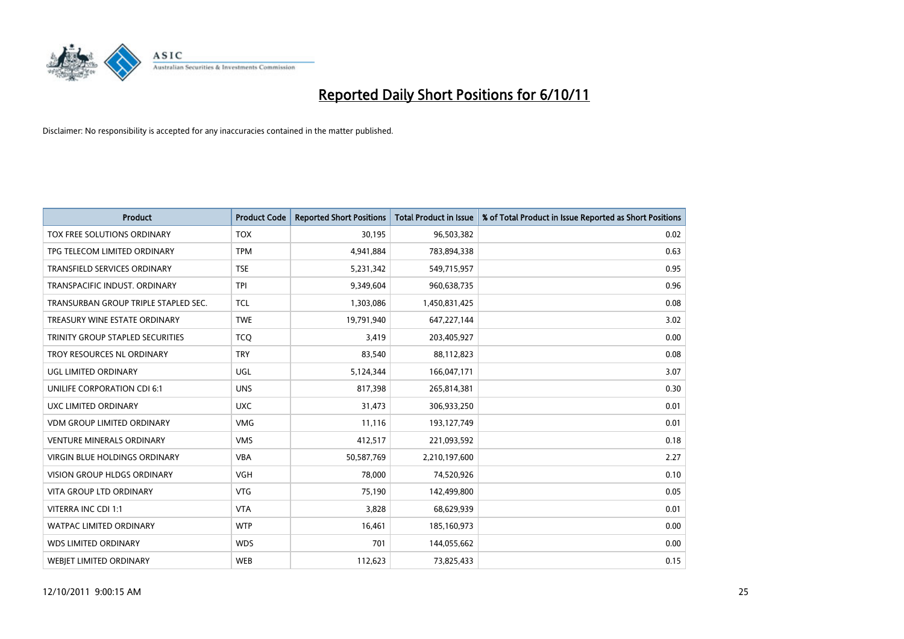

| <b>Product</b>                          | <b>Product Code</b> | <b>Reported Short Positions</b> | <b>Total Product in Issue</b> | % of Total Product in Issue Reported as Short Positions |
|-----------------------------------------|---------------------|---------------------------------|-------------------------------|---------------------------------------------------------|
| TOX FREE SOLUTIONS ORDINARY             | <b>TOX</b>          | 30,195                          | 96,503,382                    | 0.02                                                    |
| TPG TELECOM LIMITED ORDINARY            | <b>TPM</b>          | 4,941,884                       | 783,894,338                   | 0.63                                                    |
| <b>TRANSFIELD SERVICES ORDINARY</b>     | <b>TSE</b>          | 5,231,342                       | 549,715,957                   | 0.95                                                    |
| TRANSPACIFIC INDUST. ORDINARY           | <b>TPI</b>          | 9,349,604                       | 960,638,735                   | 0.96                                                    |
| TRANSURBAN GROUP TRIPLE STAPLED SEC.    | <b>TCL</b>          | 1,303,086                       | 1,450,831,425                 | 0.08                                                    |
| TREASURY WINE ESTATE ORDINARY           | <b>TWE</b>          | 19,791,940                      | 647, 227, 144                 | 3.02                                                    |
| <b>TRINITY GROUP STAPLED SECURITIES</b> | <b>TCO</b>          | 3,419                           | 203,405,927                   | 0.00                                                    |
| TROY RESOURCES NL ORDINARY              | <b>TRY</b>          | 83,540                          | 88,112,823                    | 0.08                                                    |
| <b>UGL LIMITED ORDINARY</b>             | UGL                 | 5,124,344                       | 166,047,171                   | 3.07                                                    |
| UNILIFE CORPORATION CDI 6:1             | <b>UNS</b>          | 817,398                         | 265,814,381                   | 0.30                                                    |
| UXC LIMITED ORDINARY                    | <b>UXC</b>          | 31,473                          | 306,933,250                   | 0.01                                                    |
| <b>VDM GROUP LIMITED ORDINARY</b>       | <b>VMG</b>          | 11,116                          | 193,127,749                   | 0.01                                                    |
| <b>VENTURE MINERALS ORDINARY</b>        | <b>VMS</b>          | 412,517                         | 221,093,592                   | 0.18                                                    |
| VIRGIN BLUE HOLDINGS ORDINARY           | <b>VBA</b>          | 50,587,769                      | 2,210,197,600                 | 2.27                                                    |
| <b>VISION GROUP HLDGS ORDINARY</b>      | <b>VGH</b>          | 78,000                          | 74,520,926                    | 0.10                                                    |
| <b>VITA GROUP LTD ORDINARY</b>          | <b>VTG</b>          | 75,190                          | 142,499,800                   | 0.05                                                    |
| VITERRA INC CDI 1:1                     | <b>VTA</b>          | 3,828                           | 68,629,939                    | 0.01                                                    |
| WATPAC LIMITED ORDINARY                 | <b>WTP</b>          | 16,461                          | 185,160,973                   | 0.00                                                    |
| <b>WDS LIMITED ORDINARY</b>             | <b>WDS</b>          | 701                             | 144,055,662                   | 0.00                                                    |
| <b>WEBIET LIMITED ORDINARY</b>          | <b>WEB</b>          | 112,623                         | 73,825,433                    | 0.15                                                    |